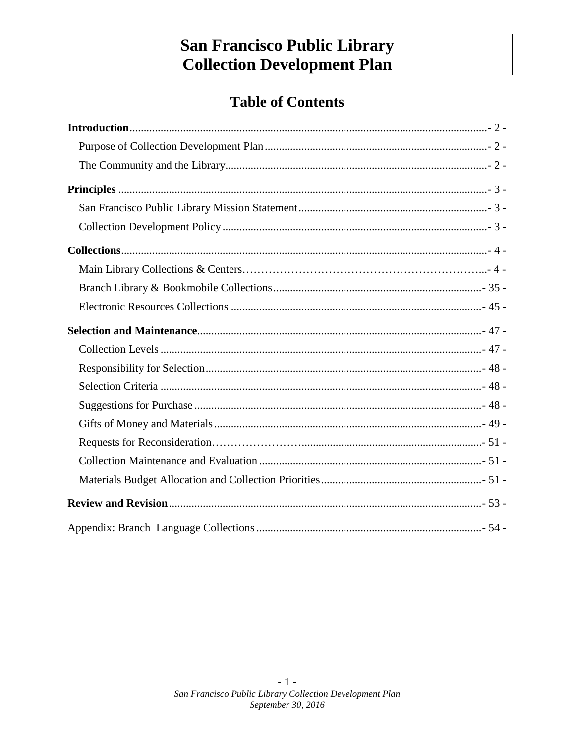# San Francisco Public Library **Collection Development Plan**

# **Table of Contents**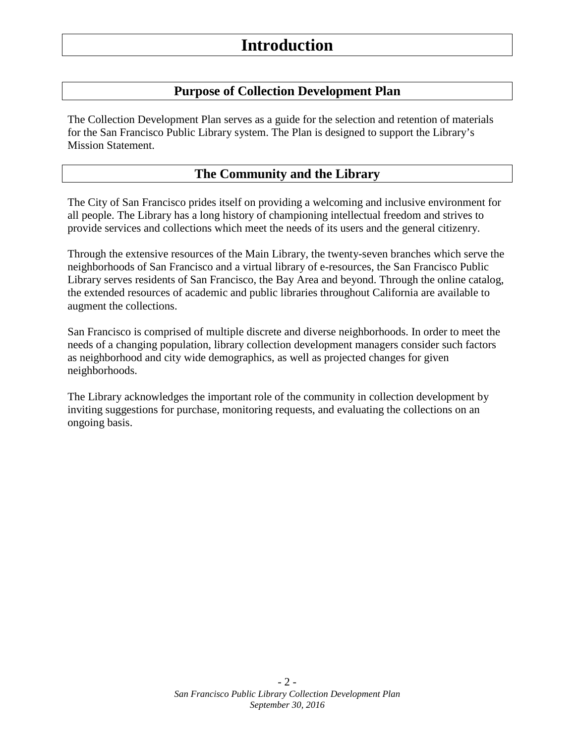## <span id="page-1-0"></span>**Purpose of Collection Development Plan**

The Collection Development Plan serves as a guide for the selection and retention of materials for the San Francisco Public Library system. The Plan is designed to support the Library's Mission Statement.

## <span id="page-1-2"></span><span id="page-1-1"></span>**The Community and the Library**

The City of San Francisco prides itself on providing a welcoming and inclusive environment for all people. The Library has a long history of championing intellectual freedom and strives to provide services and collections which meet the needs of its users and the general citizenry.

Through the extensive resources of the Main Library, the twenty-seven branches which serve the neighborhoods of San Francisco and a virtual library of e-resources, the San Francisco Public Library serves residents of San Francisco, the Bay Area and beyond. Through the online catalog, the extended resources of academic and public libraries throughout California are available to augment the collections.

San Francisco is comprised of multiple discrete and diverse neighborhoods. In order to meet the needs of a changing population, library collection development managers consider such factors as neighborhood and city wide demographics, as well as projected changes for given neighborhoods.

The Library acknowledges the important role of the community in collection development by inviting suggestions for purchase, monitoring requests, and evaluating the collections on an ongoing basis.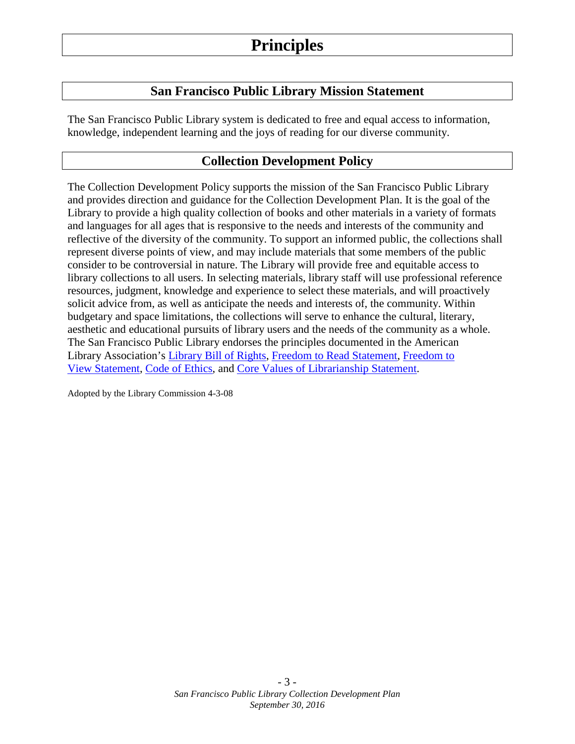## <span id="page-2-2"></span><span id="page-2-1"></span><span id="page-2-0"></span>**Principles**

## **San Francisco Public Library Mission Statement**

The San Francisco Public Library system is dedicated to free and equal access to information, knowledge, independent learning and the joys of reading for our diverse community.

## **Collection Development Policy**

The Collection Development Policy supports the mission of the San Francisco Public Library and provides direction and guidance for the Collection Development Plan. It is the goal of the Library to provide a high quality collection of books and other materials in a variety of formats and languages for all ages that is responsive to the needs and interests of the community and reflective of the diversity of the community. To support an informed public, the collections shall represent diverse points of view, and may include materials that some members of the public consider to be controversial in nature. The Library will provide free and equitable access to library collections to all users. In selecting materials, library staff will use professional reference resources, judgment, knowledge and experience to select these materials, and will proactively solicit advice from, as well as anticipate the needs and interests of, the community. Within budgetary and space limitations, the collections will serve to enhance the cultural, literary, aesthetic and educational pursuits of library users and the needs of the community as a whole. The San Francisco Public Library endorses the principles documented in the American Library Association's [Library Bill of Rights,](http://www.ala.org/advocacy/intfreedom/librarybill) [Freedom to Read Statement,](http://www.ala.org/advocacy/intfreedom/statementspols/freedomreadstatement) [Freedom to](http://www.ala.org/advocacy/intfreedom/statementspols/freedomviewstatement)  [View Statement,](http://www.ala.org/advocacy/intfreedom/statementspols/freedomviewstatement) [Code of Ethics,](http://www.ala.org/advocacy/proethics/codeofethics/codeethics) and [Core Values of Librarianship Statement.](http://www.ala.org/advocacy/intfreedom/statementspols/corevalues)

Adopted by the Library Commission 4-3-08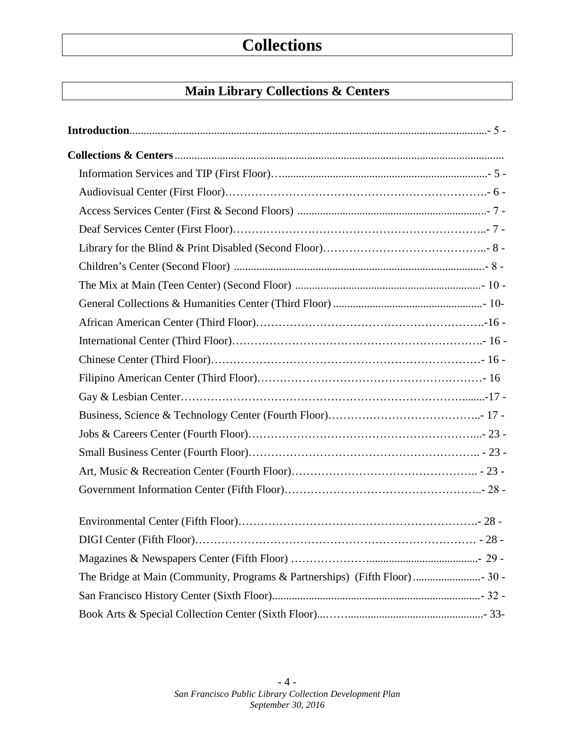# <span id="page-3-0"></span>**Collections**

## **Main Library Collections & Centers**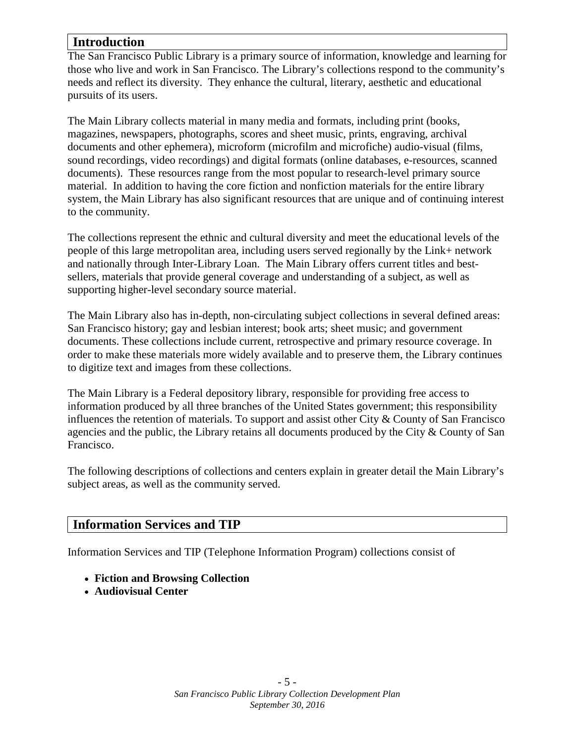## **Introduction**

The San Francisco Public Library is a primary source of information, knowledge and learning for those who live and work in San Francisco. The Library's collections respond to the community's needs and reflect its diversity. They enhance the cultural, literary, aesthetic and educational pursuits of its users.

The Main Library collects material in many media and formats, including print (books, magazines, newspapers, photographs, scores and sheet music, prints, engraving, archival documents and other ephemera), microform (microfilm and microfiche) audio-visual (films, sound recordings, video recordings) and digital formats (online databases, e-resources, scanned documents). These resources range from the most popular to research-level primary source material. In addition to having the core fiction and nonfiction materials for the entire library system, the Main Library has also significant resources that are unique and of continuing interest to the community.

The collections represent the ethnic and cultural diversity and meet the educational levels of the people of this large metropolitan area, including users served regionally by the Link+ network and nationally through Inter-Library Loan. The Main Library offers current titles and bestsellers, materials that provide general coverage and understanding of a subject, as well as supporting higher-level secondary source material.

The Main Library also has in-depth, non-circulating subject collections in several defined areas: San Francisco history; gay and lesbian interest; book arts; sheet music; and government documents. These collections include current, retrospective and primary resource coverage. In order to make these materials more widely available and to preserve them, the Library continues to digitize text and images from these collections.

The Main Library is a Federal depository library, responsible for providing free access to information produced by all three branches of the United States government; this responsibility influences the retention of materials. To support and assist other City & County of San Francisco agencies and the public, the Library retains all documents produced by the City & County of San Francisco.

The following descriptions of collections and centers explain in greater detail the Main Library's subject areas, as well as the community served.

#### **Information Services and TIP**

Information Services and TIP (Telephone Information Program) collections consist of

- **Fiction and Browsing Collection**
- **Audiovisual Center**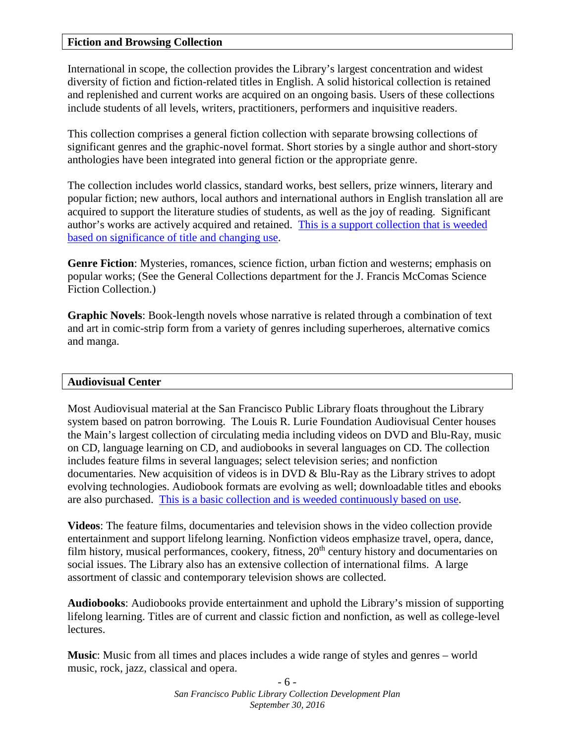#### **Fiction and Browsing Collection**

International in scope, the collection provides the Library's largest concentration and widest diversity of fiction and fiction-related titles in English. A solid historical collection is retained and replenished and current works are acquired on an ongoing basis. Users of these collections include students of all levels, writers, practitioners, performers and inquisitive readers.

This collection comprises a general fiction collection with separate browsing collections of significant genres and the graphic-novel format. Short stories by a single author and short-story anthologies have been integrated into general fiction or the appropriate genre.

The collection includes world classics, standard works, best sellers, prize winners, literary and popular fiction; new authors, local authors and international authors in English translation all are acquired to support the literature studies of students, as well as the joy of reading. Significant author's works are actively acquired and retained. [This is a support collection that is weeded](http://sfpl.org/index.php?pg=2000011501)  [based on significance of title and changing use.](http://sfpl.org/index.php?pg=2000011501)

**Genre Fiction**: Mysteries, romances, science fiction, urban fiction and westerns; emphasis on popular works; (See the General Collections department for the J. Francis McComas Science Fiction Collection.)

**Graphic Novels**: Book-length novels whose narrative is related through a combination of text and art in comic-strip form from a variety of genres including superheroes, alternative comics and manga.

#### **Audiovisual Center**

Most Audiovisual material at the San Francisco Public Library floats throughout the Library system based on patron borrowing. The Louis R. Lurie Foundation Audiovisual Center houses the Main's largest collection of circulating media including videos on DVD and Blu-Ray, music on CD, language learning on CD, and audiobooks in several languages on CD. The collection includes feature films in several languages; select television series; and nonfiction documentaries. New acquisition of videos is in DVD & Blu-Ray as the Library strives to adopt evolving technologies. Audiobook formats are evolving as well; downloadable titles and ebooks are also purchased. [This is a basic collection and is weeded continuously based on use.](http://sfpl.org/index.php?pg=2000011501)

**Videos**: The feature films, documentaries and television shows in the video collection provide entertainment and support lifelong learning. Nonfiction videos emphasize travel, opera, dance, film history, musical performances, cookery, fitness,  $20<sup>th</sup>$  century history and documentaries on social issues. The Library also has an extensive collection of international films. A large assortment of classic and contemporary television shows are collected.

**Audiobooks**: Audiobooks provide entertainment and uphold the Library's mission of supporting lifelong learning. Titles are of current and classic fiction and nonfiction, as well as college-level lectures.

**Music**: Music from all times and places includes a wide range of styles and genres – world music, rock, jazz, classical and opera.

> - 6 - *San Francisco Public Library Collection Development Plan September 30, 2016*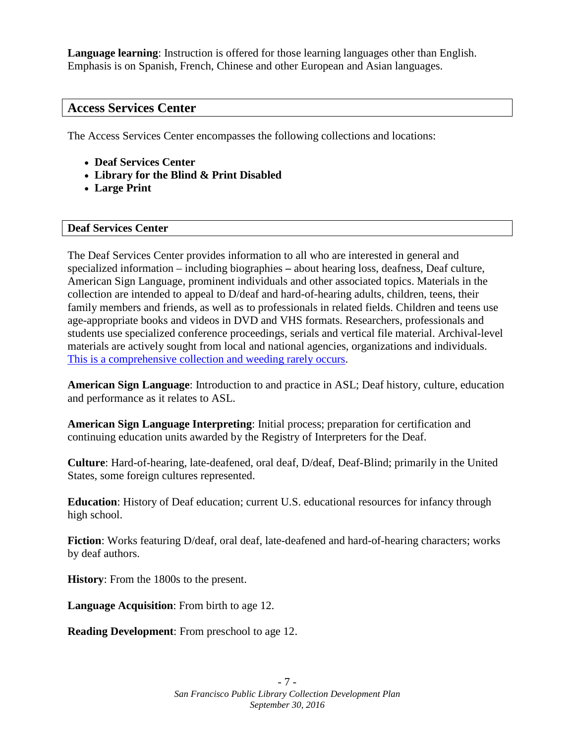**Language learning**: Instruction is offered for those learning languages other than English. Emphasis is on Spanish, French, Chinese and other European and Asian languages.

## **Access Services Center**

The Access Services Center encompasses the following collections and locations:

- **Deaf Services Center**
- **Library for the Blind & Print Disabled**
- **Large Print**

#### **Deaf Services Center**

The Deaf Services Center provides information to all who are interested in general and specialized information – including biographies **–** about hearing loss, deafness, Deaf culture, American Sign Language, prominent individuals and other associated topics. Materials in the collection are intended to appeal to D/deaf and hard-of-hearing adults, children, teens, their family members and friends, as well as to professionals in related fields. Children and teens use age-appropriate books and videos in DVD and VHS formats. Researchers, professionals and students use specialized conference proceedings, serials and vertical file material. Archival-level materials are actively sought from local and national agencies, organizations and individuals. [This is a comprehensive collection and weeding rarely occurs.](http://sfpl.org/index.php?pg=2000011501)

**American Sign Language**: Introduction to and practice in ASL; Deaf history, culture, education and performance as it relates to ASL.

**American Sign Language Interpreting**: Initial process; preparation for certification and continuing education units awarded by the Registry of Interpreters for the Deaf.

**Culture**: Hard-of-hearing, late-deafened, oral deaf, D/deaf, Deaf-Blind; primarily in the United States, some foreign cultures represented.

**Education**: History of Deaf education; current U.S. educational resources for infancy through high school.

**Fiction**: Works featuring D/deaf, oral deaf, late-deafened and hard-of-hearing characters; works by deaf authors.

**History**: From the 1800s to the present.

**Language Acquisition**: From birth to age 12.

**Reading Development**: From preschool to age 12.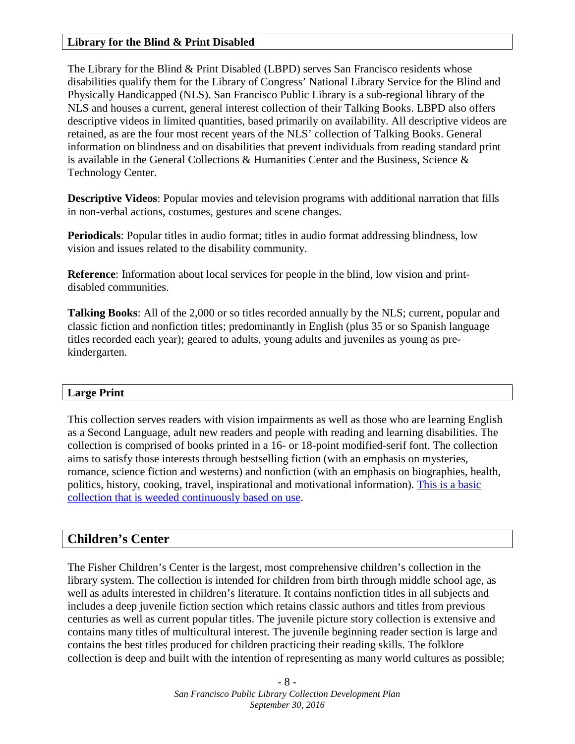#### **Library for the Blind & Print Disabled**

The Library for the Blind & Print Disabled (LBPD) serves San Francisco residents whose disabilities qualify them for the Library of Congress' National Library Service for the Blind and Physically Handicapped (NLS). San Francisco Public Library is a sub-regional library of the NLS and houses a current, general interest collection of their Talking Books. LBPD also offers descriptive videos in limited quantities, based primarily on availability. All descriptive videos are retained, as are the four most recent years of the NLS' collection of Talking Books. General information on blindness and on disabilities that prevent individuals from reading standard print is available in the General Collections  $\&$  Humanities Center and the Business, Science  $\&$ Technology Center.

**Descriptive Videos**: Popular movies and television programs with additional narration that fills in non-verbal actions, costumes, gestures and scene changes.

**Periodicals**: Popular titles in audio format; titles in audio format addressing blindness, low vision and issues related to the disability community.

**Reference**: Information about local services for people in the blind, low vision and printdisabled communities.

**Talking Books**: All of the 2,000 or so titles recorded annually by the NLS; current, popular and classic fiction and nonfiction titles; predominantly in English (plus 35 or so Spanish language titles recorded each year); geared to adults, young adults and juveniles as young as prekindergarten.

#### **Large Print**

This collection serves readers with vision impairments as well as those who are learning English as a Second Language, adult new readers and people with reading and learning disabilities. The collection is comprised of books printed in a 16- or 18-point modified-serif font. The collection aims to satisfy those interests through bestselling fiction (with an emphasis on mysteries, romance, science fiction and westerns) and nonfiction (with an emphasis on biographies, health, politics, history, cooking, travel, inspirational and motivational information). [This is a basic](http://sfpl.org/index.php?pg=2000011501)  [collection that is weeded continuously based on use.](http://sfpl.org/index.php?pg=2000011501)

## **Children's Center**

The Fisher Children's Center is the largest, most comprehensive children's collection in the library system. The collection is intended for children from birth through middle school age, as well as adults interested in children's literature. It contains nonfiction titles in all subjects and includes a deep juvenile fiction section which retains classic authors and titles from previous centuries as well as current popular titles. The juvenile picture story collection is extensive and contains many titles of multicultural interest. The juvenile beginning reader section is large and contains the best titles produced for children practicing their reading skills. The folklore collection is deep and built with the intention of representing as many world cultures as possible;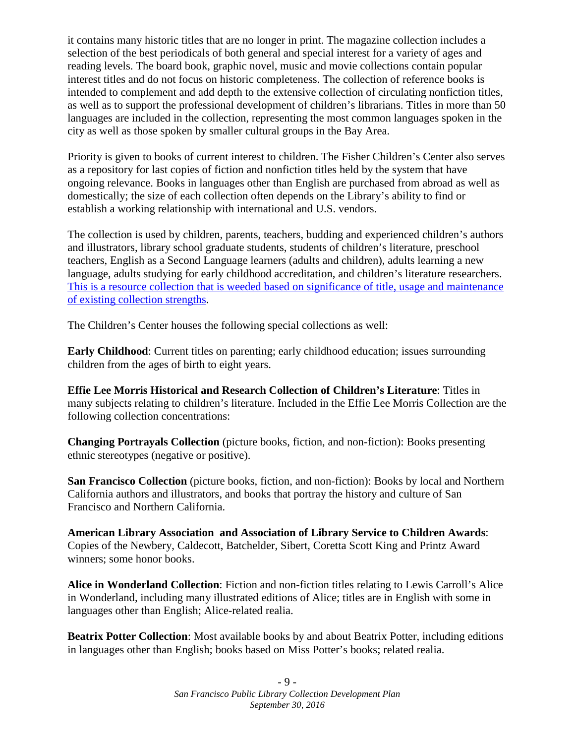it contains many historic titles that are no longer in print. The magazine collection includes a selection of the best periodicals of both general and special interest for a variety of ages and reading levels. The board book, graphic novel, music and movie collections contain popular interest titles and do not focus on historic completeness. The collection of reference books is intended to complement and add depth to the extensive collection of circulating nonfiction titles, as well as to support the professional development of children's librarians. Titles in more than 50 languages are included in the collection, representing the most common languages spoken in the city as well as those spoken by smaller cultural groups in the Bay Area.

Priority is given to books of current interest to children. The Fisher Children's Center also serves as a repository for last copies of fiction and nonfiction titles held by the system that have ongoing relevance. Books in languages other than English are purchased from abroad as well as domestically; the size of each collection often depends on the Library's ability to find or establish a working relationship with international and U.S. vendors.

The collection is used by children, parents, teachers, budding and experienced children's authors and illustrators, library school graduate students, students of children's literature, preschool teachers, English as a Second Language learners (adults and children), adults learning a new language, adults studying for early childhood accreditation, and children's literature researchers. This is a resource collection that [is weeded based on significance of title, usage and maintenance](http://sfpl.org/index.php?pg=2000011501)  [of existing collection strengths.](http://sfpl.org/index.php?pg=2000011501)

The Children's Center houses the following special collections as well:

**Early Childhood**: Current titles on parenting; early childhood education; issues surrounding children from the ages of birth to eight years.

**Effie Lee Morris Historical and Research Collection of Children's Literature**: Titles in many subjects relating to children's literature. Included in the Effie Lee Morris Collection are the following collection concentrations:

**Changing Portrayals Collection** (picture books, fiction, and non-fiction): Books presenting ethnic stereotypes (negative or positive).

**San Francisco Collection** (picture books, fiction, and non-fiction): Books by local and Northern California authors and illustrators, and books that portray the history and culture of San Francisco and Northern California.

**American Library Association and Association of Library Service to Children Awards**: Copies of the Newbery, Caldecott, Batchelder, Sibert, Coretta Scott King and Printz Award winners; some honor books.

**Alice in Wonderland Collection**: Fiction and non-fiction titles relating to Lewis Carroll's Alice in Wonderland, including many illustrated editions of Alice; titles are in English with some in languages other than English; Alice-related realia.

**Beatrix Potter Collection**: Most available books by and about Beatrix Potter, including editions in languages other than English; books based on Miss Potter's books; related realia.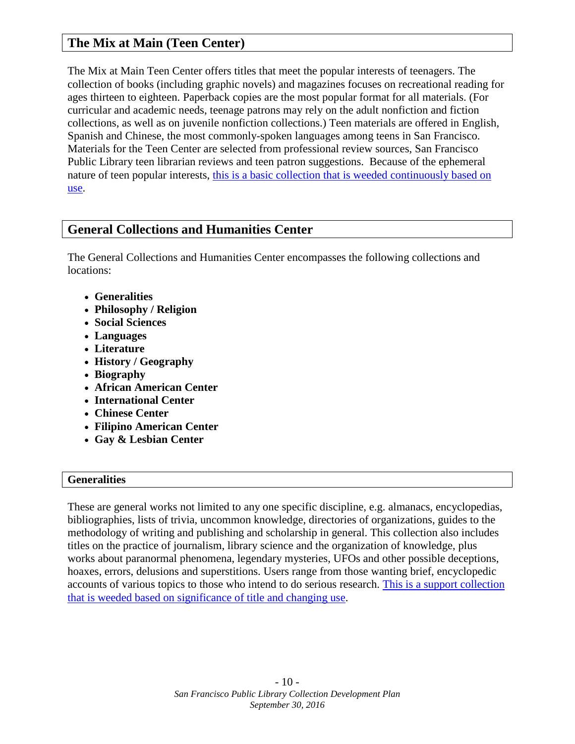## **The Mix at Main (Teen Center)**

The Mix at Main Teen Center offers titles that meet the popular interests of teenagers. The collection of books (including graphic novels) and magazines focuses on recreational reading for ages thirteen to eighteen. Paperback copies are the most popular format for all materials. (For curricular and academic needs, teenage patrons may rely on the adult nonfiction and fiction collections, as well as on juvenile nonfiction collections.) Teen materials are offered in English, Spanish and Chinese, the most commonly-spoken languages among teens in San Francisco. Materials for the Teen Center are selected from professional review sources, San Francisco Public Library teen librarian reviews and teen patron suggestions. Because of the ephemeral nature of teen popular interests, this is a basic collection that [is weeded continuously based on](http://sfpl.org/index.php?pg=2000011501)  [use.](http://sfpl.org/index.php?pg=2000011501)

## **General Collections and Humanities Center**

The General Collections and Humanities Center encompasses the following collections and locations:

- **Generalities**
- **Philosophy / Religion**
- **Social Sciences**
- **Languages**
- **Literature**
- **History / Geography**
- **Biography**
- **African American Center**
- **International Center**
- **Chinese Center**
- **Filipino American Center**
- **Gay & Lesbian Center**

#### **Generalities**

These are general works not limited to any one specific discipline, e.g. almanacs, encyclopedias, bibliographies, lists of trivia, uncommon knowledge, directories of organizations, guides to the methodology of writing and publishing and scholarship in general. This collection also includes titles on the practice of journalism, library science and the organization of knowledge, plus works about paranormal phenomena, legendary mysteries, UFOs and other possible deceptions, hoaxes, errors, delusions and superstitions. Users range from those wanting brief, encyclopedic accounts of various topics to those who intend to do serious research. [This is a support collection](http://sfpl.org/index.php?pg=2000011501)  [that is weeded based on significance of title and changing use.](http://sfpl.org/index.php?pg=2000011501)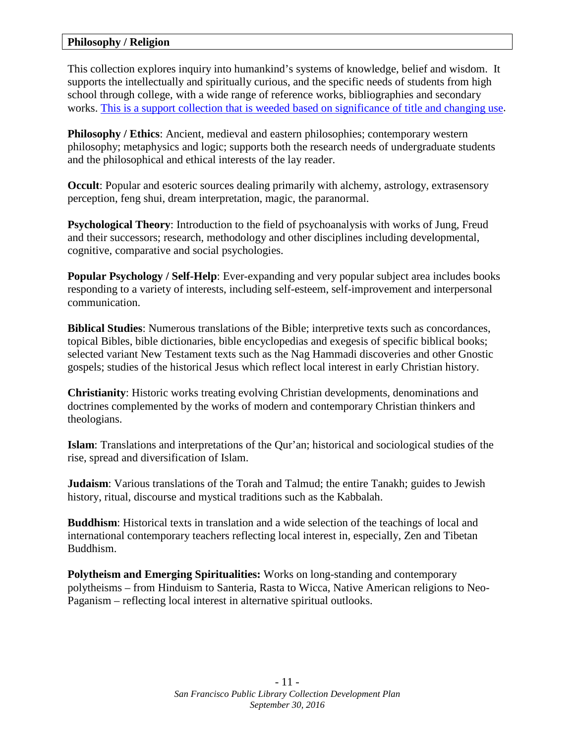#### **Philosophy / Religion**

This collection explores inquiry into humankind's systems of knowledge, belief and wisdom. It supports the intellectually and spiritually curious, and the specific needs of students from high school through college, with a wide range of reference works, bibliographies and secondary works. [This is a support collection that is weeded based on significance of title and changing use.](http://sfpl.org/index.php?pg=2000011501)

**Philosophy / Ethics:** Ancient, medieval and eastern philosophies; contemporary western philosophy; metaphysics and logic; supports both the research needs of undergraduate students and the philosophical and ethical interests of the lay reader.

**Occult**: Popular and esoteric sources dealing primarily with alchemy, astrology, extrasensory perception, feng shui, dream interpretation, magic, the paranormal.

**Psychological Theory**: Introduction to the field of psychoanalysis with works of Jung, Freud and their successors; research, methodology and other disciplines including developmental, cognitive, comparative and social psychologies.

**Popular Psychology / Self-Help**: Ever-expanding and very popular subject area includes books responding to a variety of interests, including self-esteem, self-improvement and interpersonal communication.

**Biblical Studies**: Numerous translations of the Bible; interpretive texts such as concordances, topical Bibles, bible dictionaries, bible encyclopedias and exegesis of specific biblical books; selected variant New Testament texts such as the Nag Hammadi discoveries and other Gnostic gospels; studies of the historical Jesus which reflect local interest in early Christian history.

**Christianity**: Historic works treating evolving Christian developments, denominations and doctrines complemented by the works of modern and contemporary Christian thinkers and theologians.

**Islam**: Translations and interpretations of the Qur'an; historical and sociological studies of the rise, spread and diversification of Islam.

**Judaism**: Various translations of the Torah and Talmud; the entire Tanakh; guides to Jewish history, ritual, discourse and mystical traditions such as the Kabbalah.

**Buddhism**: Historical texts in translation and a wide selection of the teachings of local and international contemporary teachers reflecting local interest in, especially, Zen and Tibetan Buddhism.

**Polytheism and Emerging Spiritualities:** Works on long-standing and contemporary polytheisms – from Hinduism to Santeria, Rasta to Wicca, Native American religions to Neo-Paganism – reflecting local interest in alternative spiritual outlooks.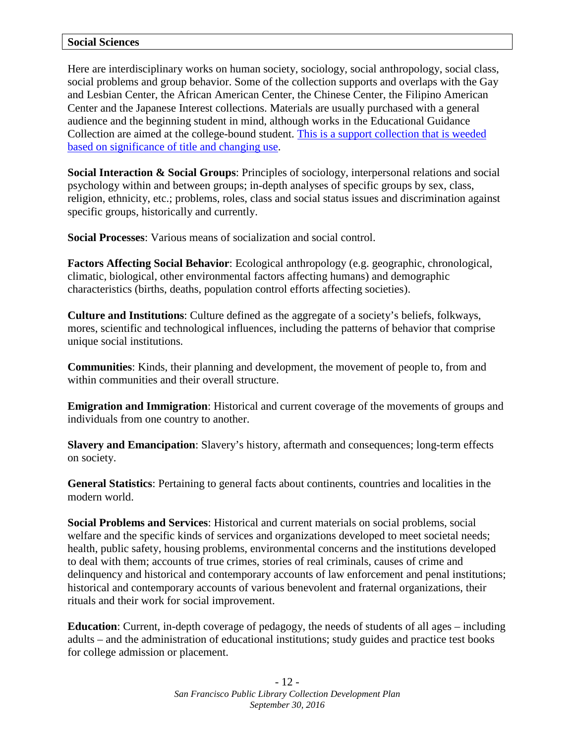Here are interdisciplinary works on human society, sociology, social anthropology, social class, social problems and group behavior. Some of the collection supports and overlaps with the Gay and Lesbian Center, the African American Center, the Chinese Center, the Filipino American Center and the Japanese Interest collections. Materials are usually purchased with a general audience and the beginning student in mind, although works in the Educational Guidance Collection are aimed at the college-bound student. [This is a support collection that is weeded](http://sfpl.org/index.php?pg=2000011501)  [based on significance of title and changing use.](http://sfpl.org/index.php?pg=2000011501)

**Social Interaction & Social Groups**: Principles of sociology, interpersonal relations and social psychology within and between groups; in-depth analyses of specific groups by sex, class, religion, ethnicity, etc.; problems, roles, class and social status issues and discrimination against specific groups, historically and currently.

**Social Processes**: Various means of socialization and social control.

**Factors Affecting Social Behavior**: Ecological anthropology (e.g. geographic, chronological, climatic, biological, other environmental factors affecting humans) and demographic characteristics (births, deaths, population control efforts affecting societies).

**Culture and Institutions**: Culture defined as the aggregate of a society's beliefs, folkways, mores, scientific and technological influences, including the patterns of behavior that comprise unique social institutions.

**Communities**: Kinds, their planning and development, the movement of people to, from and within communities and their overall structure.

**Emigration and Immigration**: Historical and current coverage of the movements of groups and individuals from one country to another.

**Slavery and Emancipation**: Slavery's history, aftermath and consequences; long-term effects on society.

**General Statistics**: Pertaining to general facts about continents, countries and localities in the modern world.

**Social Problems and Services**: Historical and current materials on social problems, social welfare and the specific kinds of services and organizations developed to meet societal needs; health, public safety, housing problems, environmental concerns and the institutions developed to deal with them; accounts of true crimes, stories of real criminals, causes of crime and delinquency and historical and contemporary accounts of law enforcement and penal institutions; historical and contemporary accounts of various benevolent and fraternal organizations, their rituals and their work for social improvement.

**Education**: Current, in-depth coverage of pedagogy, the needs of students of all ages – including adults – and the administration of educational institutions; study guides and practice test books for college admission or placement.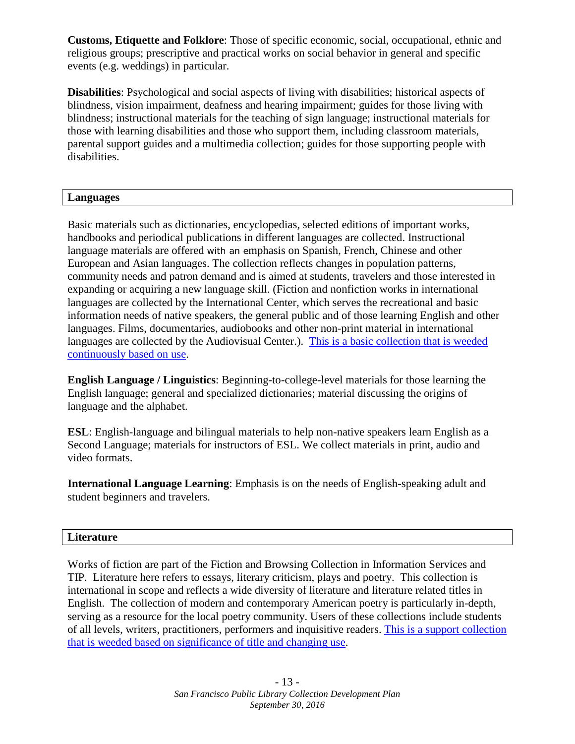**Customs, Etiquette and Folklore**: Those of specific economic, social, occupational, ethnic and religious groups; prescriptive and practical works on social behavior in general and specific events (e.g. weddings) in particular.

**Disabilities**: Psychological and social aspects of living with disabilities; historical aspects of blindness, vision impairment, deafness and hearing impairment; guides for those living with blindness; instructional materials for the teaching of sign language; instructional materials for those with learning disabilities and those who support them, including classroom materials, parental support guides and a multimedia collection; guides for those supporting people with disabilities.

#### **Languages**

Basic materials such as dictionaries, encyclopedias, selected editions of important works, handbooks and periodical publications in different languages are collected. Instructional language materials are offered with an emphasis on Spanish, French, Chinese and other European and Asian languages. The collection reflects changes in population patterns, community needs and patron demand and is aimed at students, travelers and those interested in expanding or acquiring a new language skill. (Fiction and nonfiction works in international languages are collected by the International Center, which serves the recreational and basic information needs of native speakers, the general public and of those learning English and other languages. Films, documentaries, audiobooks and other non-print material in international languages are collected by the Audiovisual Center.). [This is a basic collection that is weeded](http://sfpl.org/index.php?pg=2000011501)  [continuously based on use.](http://sfpl.org/index.php?pg=2000011501)

**English Language / Linguistics**: Beginning-to-college-level materials for those learning the English language; general and specialized dictionaries; material discussing the origins of language and the alphabet.

**ESL**: English-language and bilingual materials to help non-native speakers learn English as a Second Language; materials for instructors of ESL. We collect materials in print, audio and video formats.

**International Language Learning**: Emphasis is on the needs of English-speaking adult and student beginners and travelers.

#### **Literature**

Works of fiction are part of the Fiction and Browsing Collection in Information Services and TIP. Literature here refers to essays, literary criticism, plays and poetry. This collection is international in scope and reflects a wide diversity of literature and literature related titles in English. The collection of modern and contemporary American poetry is particularly in-depth, serving as a resource for the local poetry community. Users of these collections include students of all levels, writers, practitioners, performers and inquisitive readers. [This is a support collection](http://sfpl.org/index.php?pg=2000011501)  [that is weeded based on significance of title and changing use.](http://sfpl.org/index.php?pg=2000011501)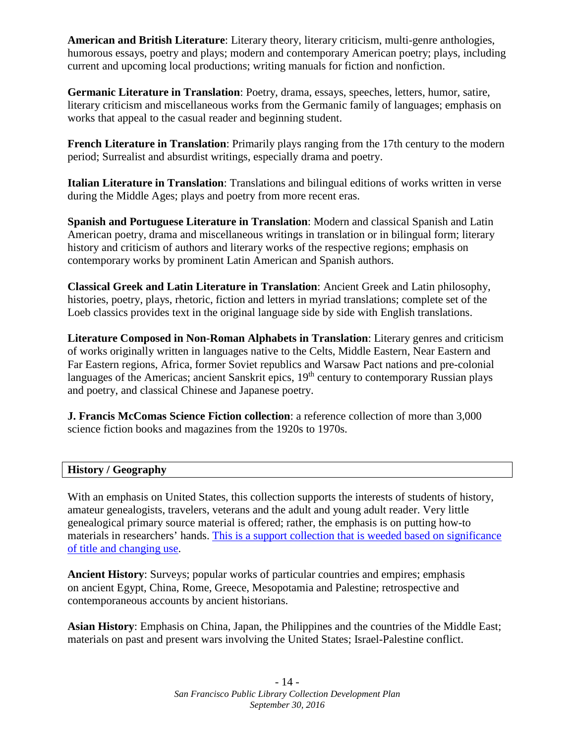**American and British Literature**: Literary theory, literary criticism, multi-genre anthologies, humorous essays, poetry and plays; modern and contemporary American poetry; plays, including current and upcoming local productions; writing manuals for fiction and nonfiction.

**Germanic Literature in Translation**: Poetry, drama, essays, speeches, letters, humor, satire, literary criticism and miscellaneous works from the Germanic family of languages; emphasis on works that appeal to the casual reader and beginning student.

**French Literature in Translation**: Primarily plays ranging from the 17th century to the modern period; Surrealist and absurdist writings, especially drama and poetry.

**Italian Literature in Translation**: Translations and bilingual editions of works written in verse during the Middle Ages; plays and poetry from more recent eras.

**Spanish and Portuguese Literature in Translation**: Modern and classical Spanish and Latin American poetry, drama and miscellaneous writings in translation or in bilingual form; literary history and criticism of authors and literary works of the respective regions; emphasis on contemporary works by prominent Latin American and Spanish authors.

**Classical Greek and Latin Literature in Translation**: Ancient Greek and Latin philosophy, histories, poetry, plays, rhetoric, fiction and letters in myriad translations; complete set of the Loeb classics provides text in the original language side by side with English translations.

**Literature Composed in Non-Roman Alphabets in Translation**: Literary genres and criticism of works originally written in languages native to the Celts, Middle Eastern, Near Eastern and Far Eastern regions, Africa, former Soviet republics and Warsaw Pact nations and pre-colonial languages of the Americas; ancient Sanskrit epics,  $19<sup>th</sup>$  century to contemporary Russian plays and poetry, and classical Chinese and Japanese poetry.

**J. Francis McComas Science Fiction collection**: a reference collection of more than 3,000 science fiction books and magazines from the 1920s to 1970s.

#### **History / Geography**

With an emphasis on United States, this collection supports the interests of students of history, amateur genealogists, travelers, veterans and the adult and young adult reader. Very little genealogical primary source material is offered; rather, the emphasis is on putting how-to materials in researchers' hands. [This is a support collection that is weeded based on significance](http://sfpl.org/index.php?pg=2000011501)  [of title and changing use.](http://sfpl.org/index.php?pg=2000011501)

**Ancient History**: Surveys; popular works of particular countries and empires; emphasis on ancient Egypt, China, Rome, Greece, Mesopotamia and Palestine; retrospective and contemporaneous accounts by ancient historians.

**Asian History**: Emphasis on China, Japan, the Philippines and the countries of the Middle East; materials on past and present wars involving the United States; Israel-Palestine conflict.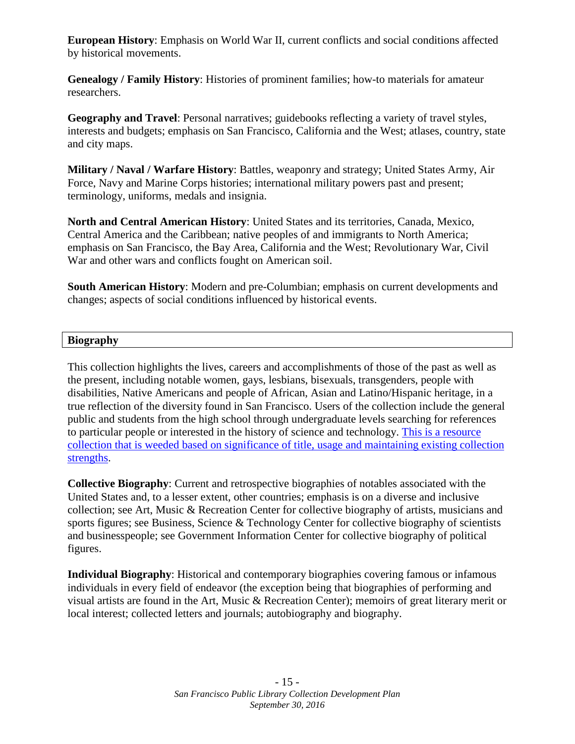**European History**: Emphasis on World War II, current conflicts and social conditions affected by historical movements.

**Genealogy / Family History**: Histories of prominent families; how-to materials for amateur researchers.

**Geography and Travel**: Personal narratives; guidebooks reflecting a variety of travel styles, interests and budgets; emphasis on San Francisco, California and the West; atlases, country, state and city maps.

**Military / Naval / Warfare History**: Battles, weaponry and strategy; United States Army, Air Force, Navy and Marine Corps histories; international military powers past and present; terminology, uniforms, medals and insignia.

**North and Central American History**: United States and its territories, Canada, Mexico, Central America and the Caribbean; native peoples of and immigrants to North America; emphasis on San Francisco, the Bay Area, California and the West; Revolutionary War, Civil War and other wars and conflicts fought on American soil.

**South American History**: Modern and pre-Columbian; emphasis on current developments and changes; aspects of social conditions influenced by historical events.

#### **Biography**

This collection highlights the lives, careers and accomplishments of those of the past as well as the present, including notable women, gays, lesbians, bisexuals, transgenders, people with disabilities, Native Americans and people of African, Asian and Latino/Hispanic heritage, in a true reflection of the diversity found in San Francisco. Users of the collection include the general public and students from the high school through undergraduate levels searching for references to particular people or interested in the history of science and technology. [This is a resource](http://sfpl.org/index.php?pg=2000011501)  [collection that is weeded based on significance of title, usage and maintaining existing collection](http://sfpl.org/index.php?pg=2000011501)  [strengths.](http://sfpl.org/index.php?pg=2000011501)

**Collective Biography**: Current and retrospective biographies of notables associated with the United States and, to a lesser extent, other countries; emphasis is on a diverse and inclusive collection; see Art, Music & Recreation Center for collective biography of artists, musicians and sports figures; see Business, Science & Technology Center for collective biography of scientists and businesspeople; see Government Information Center for collective biography of political figures.

**Individual Biography**: Historical and contemporary biographies covering famous or infamous individuals in every field of endeavor (the exception being that biographies of performing and visual artists are found in the Art, Music & Recreation Center); memoirs of great literary merit or local interest; collected letters and journals; autobiography and biography.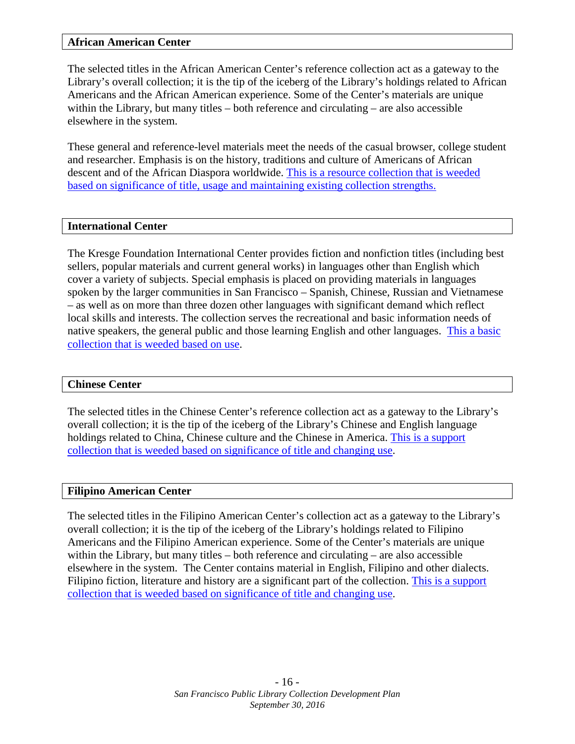#### **African American Center**

The selected titles in the African American Center's reference collection act as a gateway to the Library's overall collection; it is the tip of the iceberg of the Library's holdings related to African Americans and the African American experience. Some of the Center's materials are unique within the Library, but many titles – both reference and circulating – are also accessible elsewhere in the system.

These general and reference-level materials meet the needs of the casual browser, college student and researcher. Emphasis is on the history, traditions and culture of Americans of African descent and of the African Diaspora worldwide. [This is a resource collection that is weeded](http://sfpl.org/index.php?pg=2000011501)  [based on significance of title, usage and maintaining existing collection strengths.](http://sfpl.org/index.php?pg=2000011501)

#### **International Center**

The Kresge Foundation International Center provides fiction and nonfiction titles (including best sellers, popular materials and current general works) in languages other than English which cover a variety of subjects. Special emphasis is placed on providing materials in languages spoken by the larger communities in San Francisco – Spanish, Chinese, Russian and Vietnamese – as well as on more than three dozen other languages with significant demand which reflect local skills and interests. The collection serves the recreational and basic information needs of native speakers, the general public and those learning English and other languages. [This a basic](http://sfpl.org/index.php?pg=2000011501)  [collection that is weeded based on use.](http://sfpl.org/index.php?pg=2000011501)

#### **Chinese Center**

The selected titles in the Chinese Center's reference collection act as a gateway to the Library's overall collection; it is the tip of the iceberg of the Library's Chinese and English language holdings related to China, Chinese culture and the Chinese in America. [This is a support](http://sfpl.org/index.php?pg=2000011501)  [collection that is weeded based on significance of title and changing use.](http://sfpl.org/index.php?pg=2000011501)

#### **Filipino American Center**

The selected titles in the Filipino American Center's collection act as a gateway to the Library's overall collection; it is the tip of the iceberg of the Library's holdings related to Filipino Americans and the Filipino American experience. Some of the Center's materials are unique within the Library, but many titles – both reference and circulating – are also accessible elsewhere in the system. The Center contains material in English, Filipino and other dialects. Filipino fiction, literature and history are a significant part of the collection. [This is a support](http://sfpl.org/index.php?pg=2000011501)  [collection that is weeded based on significance of title and changing use.](http://sfpl.org/index.php?pg=2000011501)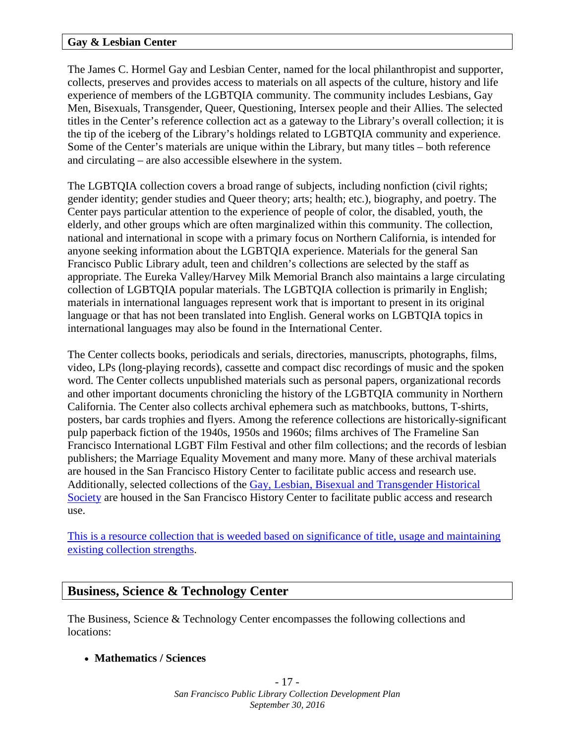#### **Gay & Lesbian Center**

The James C. Hormel Gay and Lesbian Center, named for the local philanthropist and supporter, collects, preserves and provides access to materials on all aspects of the culture, history and life experience of members of the LGBTQIA community. The community includes Lesbians, Gay Men, Bisexuals, Transgender, Queer, Questioning, Intersex people and their Allies. The selected titles in the Center's reference collection act as a gateway to the Library's overall collection; it is the tip of the iceberg of the Library's holdings related to LGBTQIA community and experience. Some of the Center's materials are unique within the Library, but many titles – both reference and circulating – are also accessible elsewhere in the system.

The LGBTQIA collection covers a broad range of subjects, including nonfiction (civil rights; gender identity; gender studies and Queer theory; arts; health; etc.), biography, and poetry. The Center pays particular attention to the experience of people of color, the disabled, youth, the elderly, and other groups which are often marginalized within this community. The collection, national and international in scope with a primary focus on Northern California, is intended for anyone seeking information about the LGBTQIA experience. Materials for the general San Francisco Public Library adult, teen and children's collections are selected by the staff as appropriate. The Eureka Valley/Harvey Milk Memorial Branch also maintains a large circulating collection of LGBTQIA popular materials. The LGBTQIA collection is primarily in English; materials in international languages represent work that is important to present in its original language or that has not been translated into English. General works on LGBTQIA topics in international languages may also be found in the International Center.

The Center collects books, periodicals and serials, directories, manuscripts, photographs, films, video, LPs (long-playing records), cassette and compact disc recordings of music and the spoken word. The Center collects unpublished materials such as personal papers, organizational records and other important documents chronicling the history of the LGBTQIA community in Northern California. The Center also collects archival ephemera such as matchbooks, buttons, T-shirts, posters, bar cards trophies and flyers. Among the reference collections are historically-significant pulp paperback fiction of the 1940s, 1950s and 1960s; films archives of The Frameline San Francisco International LGBT Film Festival and other film collections; and the records of lesbian publishers; the Marriage Equality Movement and many more. Many of these archival materials are housed in the San Francisco History Center to facilitate public access and research use. Additionally, selected collections of the [Gay, Lesbian, Bisexual and Transgender Historical](http://www.glbthistory.org/)  [Society](http://www.glbthistory.org/) are housed in the San Francisco History Center to facilitate public access and research use.

[This is a resource collection that is weeded based on significance of title, usage and maintaining](http://sfpl.org/index.php?pg=2000011501)  [existing collection strengths.](http://sfpl.org/index.php?pg=2000011501)

#### **Business, Science & Technology Center**

The Business, Science & Technology Center encompasses the following collections and locations:

• **Mathematics / Sciences**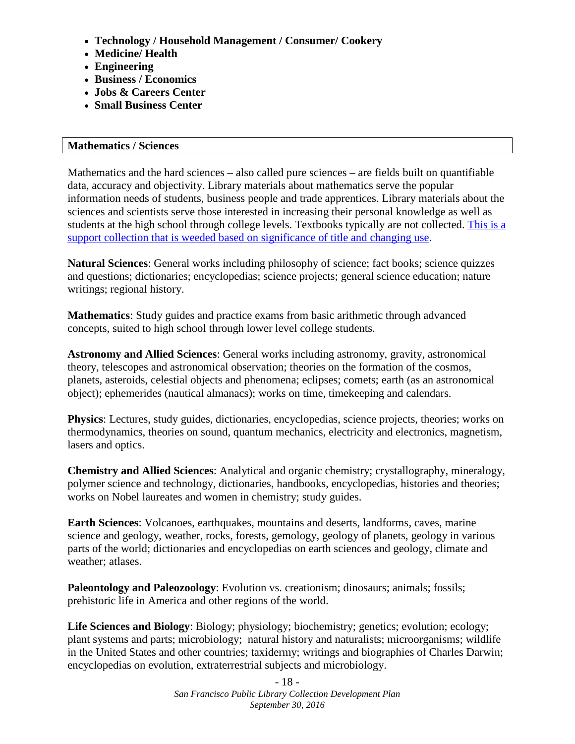- **Technology / Household Management / Consumer/ Cookery**
- **Medicine/ Health**
- **Engineering**
- **Business / Economics**
- **Jobs & Careers Center**
- **Small Business Center**

#### **Mathematics / Sciences**

Mathematics and the hard sciences – also called pure sciences – are fields built on quantifiable data, accuracy and objectivity. Library materials about mathematics serve the popular information needs of students, business people and trade apprentices. Library materials about the sciences and scientists serve those interested in increasing their personal knowledge as well as students at the high school through college levels. Textbooks typically are not collected. [This is a](http://sfpl.org/index.php?pg=2000011501)  [support collection that is weeded based on significance of title and changing use.](http://sfpl.org/index.php?pg=2000011501)

**Natural Sciences**: General works including philosophy of science; fact books; science quizzes and questions; dictionaries; encyclopedias; science projects; general science education; nature writings; regional history.

**Mathematics**: Study guides and practice exams from basic arithmetic through advanced concepts, suited to high school through lower level college students.

**Astronomy and Allied Sciences**: General works including astronomy, gravity, astronomical theory, telescopes and astronomical observation; theories on the formation of the cosmos, planets, asteroids, celestial objects and phenomena; eclipses; comets; earth (as an astronomical object); ephemerides (nautical almanacs); works on time, timekeeping and calendars.

**Physics**: Lectures, study guides, dictionaries, encyclopedias, science projects, theories; works on thermodynamics, theories on sound, quantum mechanics, electricity and electronics, magnetism, lasers and optics.

**Chemistry and Allied Sciences**: Analytical and organic chemistry; crystallography, mineralogy, polymer science and technology, dictionaries, handbooks, encyclopedias, histories and theories; works on Nobel laureates and women in chemistry; study guides.

**Earth Sciences**: Volcanoes, earthquakes, mountains and deserts, landforms, caves, marine science and geology, weather, rocks, forests, gemology, geology of planets, geology in various parts of the world; dictionaries and encyclopedias on earth sciences and geology, climate and weather; atlases.

**Paleontology and Paleozoology**: Evolution vs. creationism; dinosaurs; animals; fossils; prehistoric life in America and other regions of the world.

**Life Sciences and Biology**: Biology; physiology; biochemistry; genetics; evolution; ecology; plant systems and parts; microbiology; natural history and naturalists; microorganisms; wildlife in the United States and other countries; taxidermy; writings and biographies of Charles Darwin; encyclopedias on evolution, extraterrestrial subjects and microbiology.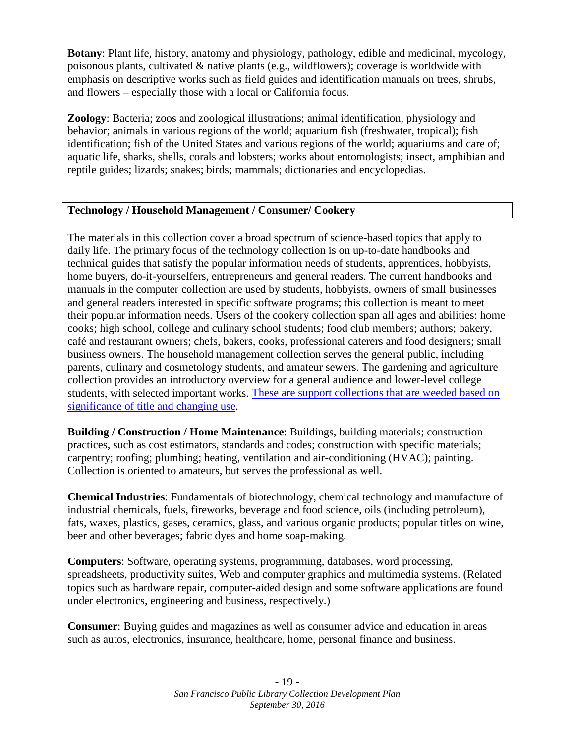**Botany**: Plant life, history, anatomy and physiology, pathology, edible and medicinal, mycology, poisonous plants, cultivated & native plants (e.g., wildflowers); coverage is worldwide with emphasis on descriptive works such as field guides and identification manuals on trees, shrubs, and flowers – especially those with a local or California focus.

**Zoology**: Bacteria; zoos and zoological illustrations; animal identification, physiology and behavior; animals in various regions of the world; aquarium fish (freshwater, tropical); fish identification; fish of the United States and various regions of the world; aquariums and care of; aquatic life, sharks, shells, corals and lobsters; works about entomologists; insect, amphibian and reptile guides; lizards; snakes; birds; mammals; dictionaries and encyclopedias.

#### **Technology / Household Management / Consumer/ Cookery**

The materials in this collection cover a broad spectrum of science-based topics that apply to daily life. The primary focus of the technology collection is on up-to-date handbooks and technical guides that satisfy the popular information needs of students, apprentices, hobbyists, home buyers, do-it-yourselfers, entrepreneurs and general readers. The current handbooks and manuals in the computer collection are used by students, hobbyists, owners of small businesses and general readers interested in specific software programs; this collection is meant to meet their popular information needs. Users of the cookery collection span all ages and abilities: home cooks; high school, college and culinary school students; food club members; authors; bakery, café and restaurant owners; chefs, bakers, cooks, professional caterers and food designers; small business owners. The household management collection serves the general public, including parents, culinary and cosmetology students, and amateur sewers. The gardening and agriculture collection provides an introductory overview for a general audience and lower-level college students, with selected important works. [These are support collections that are weeded based on](http://sfpl.org/index.php?pg=2000011501)  [significance of title and changing use.](http://sfpl.org/index.php?pg=2000011501)

**Building / Construction / Home Maintenance**: Buildings, building materials; construction practices, such as cost estimators, standards and codes; construction with specific materials; carpentry; roofing; plumbing; heating, ventilation and air-conditioning (HVAC); painting. Collection is oriented to amateurs, but serves the professional as well.

**Chemical Industries**: Fundamentals of biotechnology, chemical technology and manufacture of industrial chemicals, fuels, fireworks, beverage and food science, oils (including petroleum), fats, waxes, plastics, gases, ceramics, glass, and various organic products; popular titles on wine, beer and other beverages; fabric dyes and home soap-making.

**Computers**: Software, operating systems, programming, databases, word processing, spreadsheets, productivity suites, Web and computer graphics and multimedia systems. (Related topics such as hardware repair, computer-aided design and some software applications are found under electronics, engineering and business, respectively.)

**Consumer**: Buying guides and magazines as well as consumer advice and education in areas such as autos, electronics, insurance, healthcare, home, personal finance and business.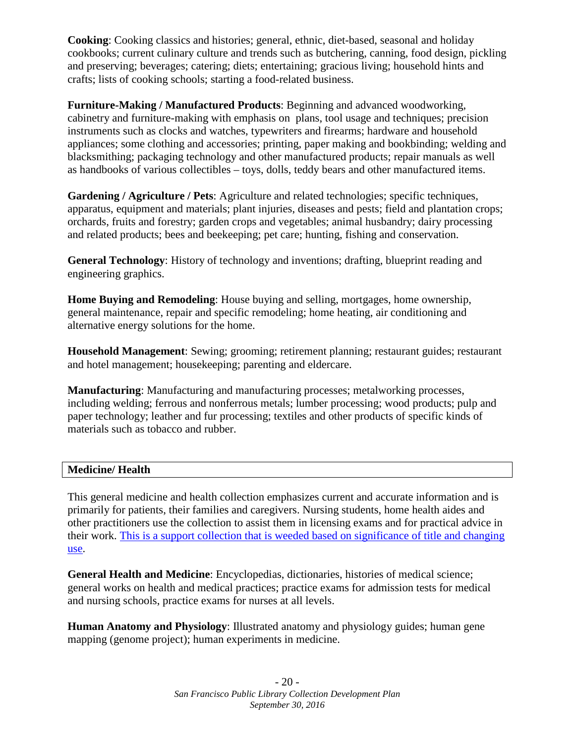**Cooking**: Cooking classics and histories; general, ethnic, diet-based, seasonal and holiday cookbooks; current culinary culture and trends such as butchering, canning, food design, pickling and preserving; beverages; catering; diets; entertaining; gracious living; household hints and crafts; lists of cooking schools; starting a food-related business.

**Furniture-Making / Manufactured Products**: Beginning and advanced woodworking, cabinetry and furniture-making with emphasis on plans, tool usage and techniques; precision instruments such as clocks and watches, typewriters and firearms; hardware and household appliances; some clothing and accessories; printing, paper making and bookbinding; welding and blacksmithing; packaging technology and other manufactured products; repair manuals as well as handbooks of various collectibles – toys, dolls, teddy bears and other manufactured items.

**Gardening / Agriculture / Pets**: Agriculture and related technologies; specific techniques, apparatus, equipment and materials; plant injuries, diseases and pests; field and plantation crops; orchards, fruits and forestry; garden crops and vegetables; animal husbandry; dairy processing and related products; bees and beekeeping; pet care; hunting, fishing and conservation.

**General Technology**: History of technology and inventions; drafting, blueprint reading and engineering graphics.

**Home Buying and Remodeling**: House buying and selling, mortgages, home ownership, general maintenance, repair and specific remodeling; home heating, air conditioning and alternative energy solutions for the home.

**Household Management**: Sewing; grooming; retirement planning; restaurant guides; restaurant and hotel management; housekeeping; parenting and eldercare.

**Manufacturing**: Manufacturing and manufacturing processes; metalworking processes, including welding; ferrous and nonferrous metals; lumber processing; wood products; pulp and paper technology; leather and fur processing; textiles and other products of specific kinds of materials such as tobacco and rubber.

#### **Medicine/ Health**

This general medicine and health collection emphasizes current and accurate information and is primarily for patients, their families and caregivers. Nursing students, home health aides and other practitioners use the collection to assist them in licensing exams and for practical advice in their work. [This is a support collection that is weeded based on significance of title and changing](http://sfpl.org/index.php?pg=2000011501)  [use.](http://sfpl.org/index.php?pg=2000011501)

**General Health and Medicine**: Encyclopedias, dictionaries, histories of medical science; general works on health and medical practices; practice exams for admission tests for medical and nursing schools, practice exams for nurses at all levels.

**Human Anatomy and Physiology**: Illustrated anatomy and physiology guides; human gene mapping (genome project); human experiments in medicine.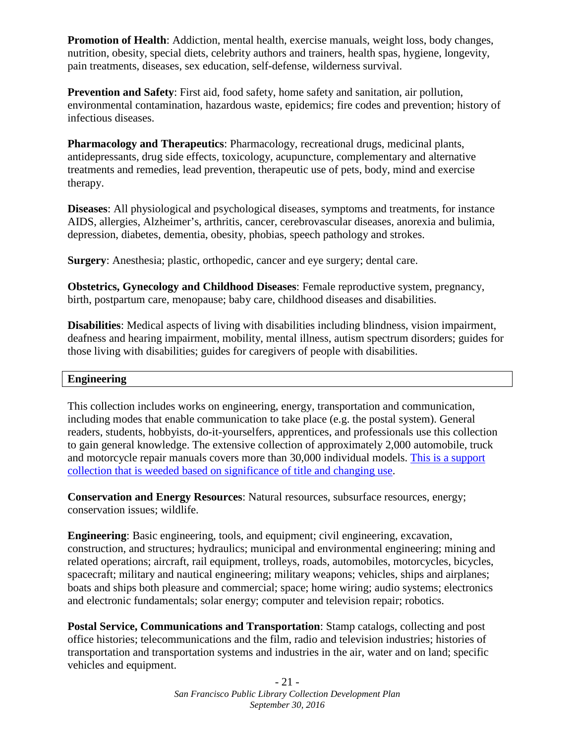**Promotion of Health**: Addiction, mental health, exercise manuals, weight loss, body changes, nutrition, obesity, special diets, celebrity authors and trainers, health spas, hygiene, longevity, pain treatments, diseases, sex education, self-defense, wilderness survival.

**Prevention and Safety**: First aid, food safety, home safety and sanitation, air pollution, environmental contamination, hazardous waste, epidemics; fire codes and prevention; history of infectious diseases.

**Pharmacology and Therapeutics**: Pharmacology, recreational drugs, medicinal plants, antidepressants, drug side effects, toxicology, acupuncture, complementary and alternative treatments and remedies, lead prevention, therapeutic use of pets, body, mind and exercise therapy.

**Diseases**: All physiological and psychological diseases, symptoms and treatments, for instance AIDS, allergies, Alzheimer's, arthritis, cancer, cerebrovascular diseases, anorexia and bulimia, depression, diabetes, dementia, obesity, phobias, speech pathology and strokes.

**Surgery**: Anesthesia; plastic, orthopedic, cancer and eye surgery; dental care.

**Obstetrics, Gynecology and Childhood Diseases**: Female reproductive system, pregnancy, birth, postpartum care, menopause; baby care, childhood diseases and disabilities.

**Disabilities**: Medical aspects of living with disabilities including blindness, vision impairment, deafness and hearing impairment, mobility, mental illness, autism spectrum disorders; guides for those living with disabilities; guides for caregivers of people with disabilities.

#### **Engineering**

This collection includes works on engineering, energy, transportation and communication, including modes that enable communication to take place (e.g. the postal system). General readers, students, hobbyists, do-it-yourselfers, apprentices, and professionals use this collection to gain general knowledge. The extensive collection of approximately 2,000 automobile, truck and motorcycle repair manuals covers more than 30,000 individual models. [This is a support](http://sfpl.org/index.php?pg=2000011501)  collection that [is weeded based on significance of title and changing use.](http://sfpl.org/index.php?pg=2000011501)

**Conservation and Energy Resources**: Natural resources, subsurface resources, energy; conservation issues; wildlife.

**Engineering**: Basic engineering, tools, and equipment; civil engineering, excavation, construction, and structures; hydraulics; municipal and environmental engineering; mining and related operations; aircraft, rail equipment, trolleys, roads, automobiles, motorcycles, bicycles, spacecraft; military and nautical engineering; military weapons; vehicles, ships and airplanes; boats and ships both pleasure and commercial; space; home wiring; audio systems; electronics and electronic fundamentals; solar energy; computer and television repair; robotics.

**Postal Service, Communications and Transportation**: Stamp catalogs, collecting and post office histories; telecommunications and the film, radio and television industries; histories of transportation and transportation systems and industries in the air, water and on land; specific vehicles and equipment.

> - 21 - *San Francisco Public Library Collection Development Plan September 30, 2016*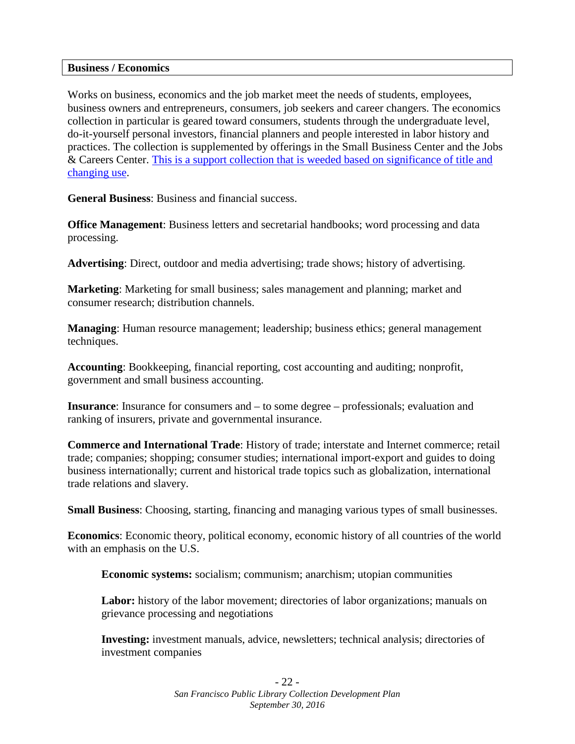#### **Business / Economics**

Works on business, economics and the job market meet the needs of students, employees, business owners and entrepreneurs, consumers, job seekers and career changers. The economics collection in particular is geared toward consumers, students through the undergraduate level, do-it-yourself personal investors, financial planners and people interested in labor history and practices. The collection is supplemented by offerings in the Small Business Center and the Jobs & Careers Center. [This is a support collection that is weeded based on significance of title and](http://sfpl.org/index.php?pg=2000011501)  [changing use.](http://sfpl.org/index.php?pg=2000011501)

**General Business**: Business and financial success.

**Office Management:** Business letters and secretarial handbooks; word processing and data processing.

**Advertising**: Direct, outdoor and media advertising; trade shows; history of advertising.

**Marketing**: Marketing for small business; sales management and planning; market and consumer research; distribution channels.

**Managing**: Human resource management; leadership; business ethics; general management techniques.

**Accounting**: Bookkeeping, financial reporting, cost accounting and auditing; nonprofit, government and small business accounting.

**Insurance**: Insurance for consumers and – to some degree – professionals; evaluation and ranking of insurers, private and governmental insurance.

**Commerce and International Trade**: History of trade; interstate and Internet commerce; retail trade; companies; shopping; consumer studies; international import-export and guides to doing business internationally; current and historical trade topics such as globalization, international trade relations and slavery.

**Small Business**: Choosing, starting, financing and managing various types of small businesses.

**Economics**: Economic theory, political economy, economic history of all countries of the world with an emphasis on the U.S.

**Economic systems:** socialism; communism; anarchism; utopian communities

**Labor:** history of the labor movement; directories of labor organizations; manuals on grievance processing and negotiations

**Investing:** investment manuals, advice, newsletters; technical analysis; directories of investment companies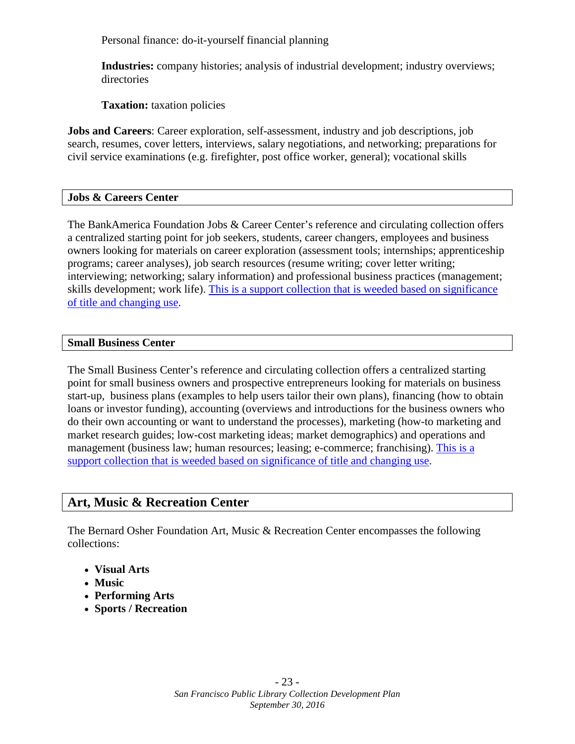Personal finance: do-it-yourself financial planning

**Industries:** company histories; analysis of industrial development; industry overviews; directories

**Taxation:** taxation policies

**Jobs and Careers**: Career exploration, self-assessment, industry and job descriptions, job search, resumes, cover letters, interviews, salary negotiations, and networking; preparations for civil service examinations (e.g. firefighter, post office worker, general); vocational skills

#### **Jobs & Careers Center**

The BankAmerica Foundation Jobs & Career Center's reference and circulating collection offers a centralized starting point for job seekers, students, career changers, employees and business owners looking for materials on career exploration (assessment tools; internships; apprenticeship programs; career analyses), job search resources (resume writing; cover letter writing; interviewing; networking; salary information) and professional business practices (management; skills development; work life). [This is a support collection that is weeded based on significance](http://sfpl.org/index.php?pg=2000011501)  [of title and changing use.](http://sfpl.org/index.php?pg=2000011501)

#### **Small Business Center**

The Small Business Center's reference and circulating collection offers a centralized starting point for small business owners and prospective entrepreneurs looking for materials on business start-up, business plans (examples to help users tailor their own plans), financing (how to obtain loans or investor funding), accounting (overviews and introductions for the business owners who do their own accounting or want to understand the processes), marketing (how-to marketing and market research guides; low-cost marketing ideas; market demographics) and operations and management (business law; human resources; leasing; e-commerce; franchising). [This is a](http://sfpl.org/index.php?pg=2000011501)  [support collection that is weeded based on significance of title and changing use.](http://sfpl.org/index.php?pg=2000011501)

## **Art, Music & Recreation Center**

The Bernard Osher Foundation Art, Music & Recreation Center encompasses the following collections:

- **Visual Arts**
- **Music**
- **Performing Arts**
- **Sports / Recreation**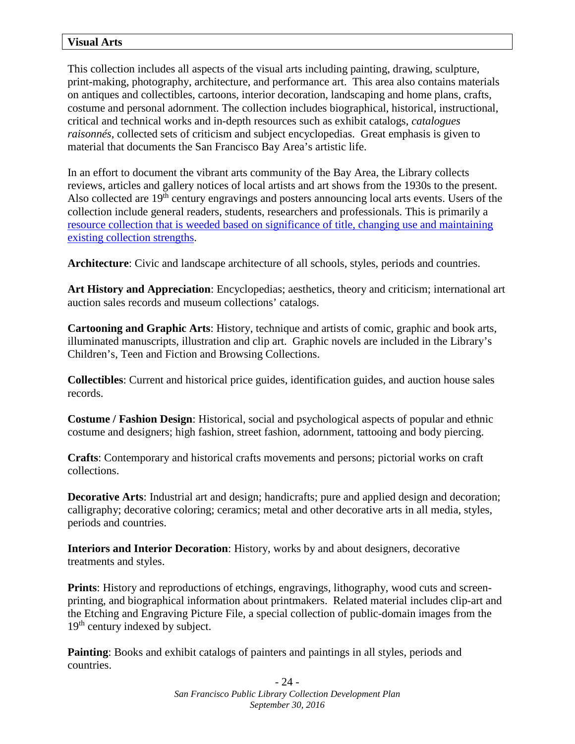This collection includes all aspects of the visual arts including painting, drawing, sculpture, print-making, photography, architecture, and performance art. This area also contains materials on antiques and collectibles, cartoons, interior decoration, landscaping and home plans, crafts, costume and personal adornment. The collection includes biographical, historical, instructional, critical and technical works and in-depth resources such as exhibit catalogs, *catalogues raisonnés*, collected sets of criticism and subject encyclopedias. Great emphasis is given to material that documents the San Francisco Bay Area's artistic life.

In an effort to document the vibrant arts community of the Bay Area, the Library collects reviews, articles and gallery notices of local artists and art shows from the 1930s to the present. Also collected are  $19<sup>th</sup>$  century engravings and posters announcing local arts events. Users of the collection include general readers, students, researchers and professionals. This is primarily a [resource collection that is weeded based on significance of title, changing use and maintaining](http://sfpl.org/index.php?pg=2000011501)  [existing collection strengths.](http://sfpl.org/index.php?pg=2000011501)

**Architecture**: Civic and landscape architecture of all schools, styles, periods and countries.

**Art History and Appreciation**: Encyclopedias; aesthetics, theory and criticism; international art auction sales records and museum collections' catalogs.

**Cartooning and Graphic Arts**: History, technique and artists of comic, graphic and book arts, illuminated manuscripts, illustration and clip art. Graphic novels are included in the Library's Children's, Teen and Fiction and Browsing Collections.

**Collectibles**: Current and historical price guides, identification guides, and auction house sales records.

**Costume / Fashion Design**: Historical, social and psychological aspects of popular and ethnic costume and designers; high fashion, street fashion, adornment, tattooing and body piercing.

**Crafts**: Contemporary and historical crafts movements and persons; pictorial works on craft collections.

**Decorative Arts:** Industrial art and design; handicrafts; pure and applied design and decoration; calligraphy; decorative coloring; ceramics; metal and other decorative arts in all media, styles, periods and countries.

**Interiors and Interior Decoration**: History, works by and about designers, decorative treatments and styles.

**Prints**: History and reproductions of etchings, engravings, lithography, wood cuts and screenprinting, and biographical information about printmakers. Related material includes clip-art and the Etching and Engraving Picture File, a special collection of public-domain images from the 19<sup>th</sup> century indexed by subject.

**Painting**: Books and exhibit catalogs of painters and paintings in all styles, periods and countries.

> - 24 - *San Francisco Public Library Collection Development Plan September 30, 2016*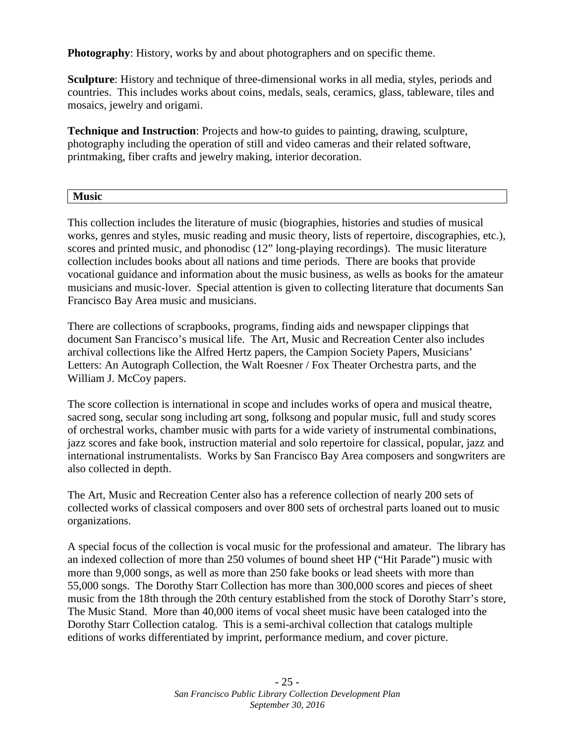**Photography**: History, works by and about photographers and on specific theme.

**Sculpture**: History and technique of three-dimensional works in all media, styles, periods and countries. This includes works about coins, medals, seals, ceramics, glass, tableware, tiles and mosaics, jewelry and origami.

**Technique and Instruction**: Projects and how-to guides to painting, drawing, sculpture, photography including the operation of still and video cameras and their related software, printmaking, fiber crafts and jewelry making, interior decoration.

| п.   |  |  |
|------|--|--|
|      |  |  |
| ____ |  |  |
|      |  |  |

This collection includes the literature of music (biographies, histories and studies of musical works, genres and styles, music reading and music theory, lists of repertoire, discographies, etc.), scores and printed music, and phonodisc (12" long-playing recordings). The music literature collection includes books about all nations and time periods. There are books that provide vocational guidance and information about the music business, as wells as books for the amateur musicians and music-lover. Special attention is given to collecting literature that documents San Francisco Bay Area music and musicians.

There are collections of scrapbooks, programs, finding aids and newspaper clippings that document San Francisco's musical life. The Art, Music and Recreation Center also includes archival collections like the Alfred Hertz papers, the Campion Society Papers, Musicians' Letters: An Autograph Collection, the Walt Roesner / Fox Theater Orchestra parts, and the William J. McCoy papers.

The score collection is international in scope and includes works of opera and musical theatre, sacred song, secular song including art song, folksong and popular music, full and study scores of orchestral works, chamber music with parts for a wide variety of instrumental combinations, jazz scores and fake book, instruction material and solo repertoire for classical, popular, jazz and international instrumentalists. Works by San Francisco Bay Area composers and songwriters are also collected in depth.

The Art, Music and Recreation Center also has a reference collection of nearly 200 sets of collected works of classical composers and over 800 sets of orchestral parts loaned out to music organizations.

A special focus of the collection is vocal music for the professional and amateur. The library has an indexed collection of more than 250 volumes of bound sheet HP ("Hit Parade") music with more than 9,000 songs, as well as more than 250 fake books or lead sheets with more than 55,000 songs. The Dorothy Starr Collection has more than 300,000 scores and pieces of sheet music from the 18th through the 20th century established from the stock of Dorothy Starr's store, The Music Stand. More than 40,000 items of vocal sheet music have been cataloged into the Dorothy Starr Collection catalog. This is a semi-archival collection that catalogs multiple editions of works differentiated by imprint, performance medium, and cover picture.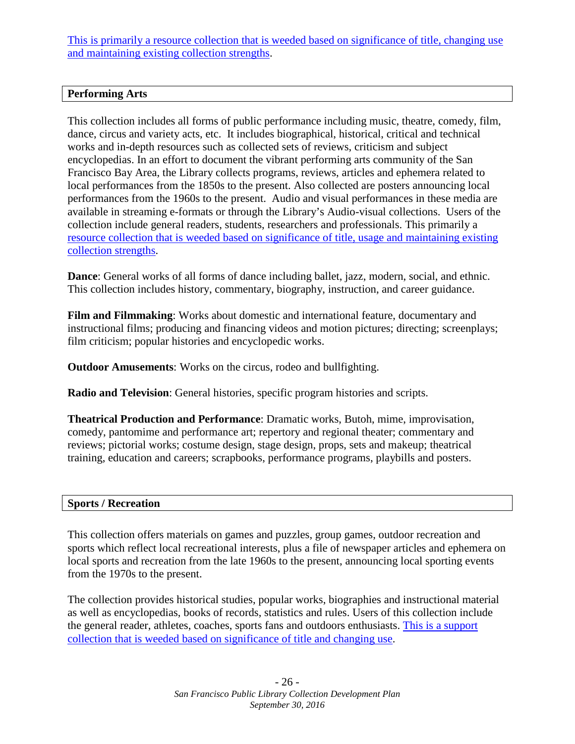[This is primarily a resource collection that is weeded based on significance of title, changing use](http://sfpl.org/index.php?pg=2000011501)  [and maintaining existing collection strengths.](http://sfpl.org/index.php?pg=2000011501)

## **Performing Arts**

This collection includes all forms of public performance including music, theatre, comedy, film, dance, circus and variety acts, etc. It includes biographical, historical, critical and technical works and in-depth resources such as collected sets of reviews, criticism and subject encyclopedias. In an effort to document the vibrant performing arts community of the San Francisco Bay Area, the Library collects programs, reviews, articles and ephemera related to local performances from the 1850s to the present. Also collected are posters announcing local performances from the 1960s to the present. Audio and visual performances in these media are available in streaming e-formats or through the Library's Audio-visual collections. Users of the collection include general readers, students, researchers and professionals. This primarily a [resource collection that is weeded based on significance of title, usage and maintaining existing](http://sfpl.org/index.php?pg=2000011501)  [collection strengths.](http://sfpl.org/index.php?pg=2000011501)

**Dance**: General works of all forms of dance including ballet, jazz, modern, social, and ethnic. This collection includes history, commentary, biography, instruction, and career guidance.

**Film and Filmmaking**: Works about domestic and international feature, documentary and instructional films; producing and financing videos and motion pictures; directing; screenplays; film criticism; popular histories and encyclopedic works.

**Outdoor Amusements**: Works on the circus, rodeo and bullfighting.

**Radio and Television**: General histories, specific program histories and scripts.

**Theatrical Production and Performance**: Dramatic works, Butoh, mime, improvisation, comedy, pantomime and performance art; repertory and regional theater; commentary and reviews; pictorial works; costume design, stage design, props, sets and makeup; theatrical training, education and careers; scrapbooks, performance programs, playbills and posters.

#### **Sports / Recreation**

This collection offers materials on games and puzzles, group games, outdoor recreation and sports which reflect local recreational interests, plus a file of newspaper articles and ephemera on local sports and recreation from the late 1960s to the present, announcing local sporting events from the 1970s to the present.

The collection provides historical studies, popular works, biographies and instructional material as well as encyclopedias, books of records, statistics and rules. Users of this collection include the general reader, athletes, coaches, sports fans and outdoors enthusiasts. [This is a support](http://sfpl.org/index.php?pg=2000011501)  [collection that is weeded based on significance of title and changing use.](http://sfpl.org/index.php?pg=2000011501)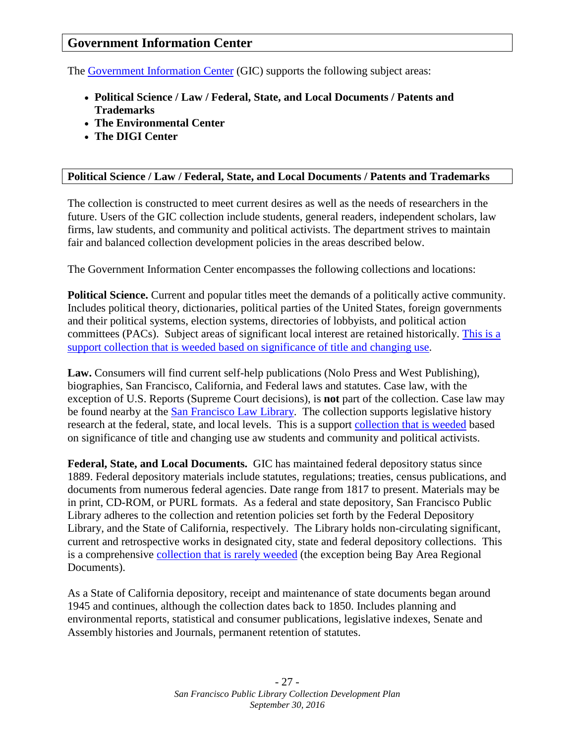## **Government Information Center**

The [Government Information Center](http://sfpl.org/index.php?pg=0200002601) (GIC) supports the following subject areas:

- **Political Science / Law / Federal, State, and Local Documents / Patents and Trademarks**
- **The Environmental Center**
- **The DIGI Center**

#### **Political Science / Law / Federal, State, and Local Documents / Patents and Trademarks**

The collection is constructed to meet current desires as well as the needs of researchers in the future. Users of the GIC collection include students, general readers, independent scholars, law firms, law students, and community and political activists. The department strives to maintain fair and balanced collection development policies in the areas described below.

The Government Information Center encompasses the following collections and locations:

**Political Science.** Current and popular titles meet the demands of a politically active community. Includes political theory, dictionaries, political parties of the United States, foreign governments and their political systems, election systems, directories of lobbyists, and political action committees (PACs). Subject areas of significant local interest are retained historically. This is a [support collection that is weeded based on significance of title and changing use.](http://sfpl.org/index.php?pg=2000011501)

**Law.** Consumers will find current self-help publications (Nolo Press and West Publishing), biographies, San Francisco, California, and Federal laws and statutes. Case law, with the exception of U.S. Reports (Supreme Court decisions), is **not** part of the collection. Case law may be found nearby at the **San Francisco Law Library**. The collection supports legislative history research at the federal, state, and local levels. This is a support [collection that is weeded](http://sfpl.org/librarylocations/administration/cdp/levels.htm) based on significance of title and changing use aw students and community and political activists.

**Federal, State, and Local Documents.** GIC has maintained federal depository status since 1889. Federal depository materials include statutes, regulations; treaties, census publications, and documents from numerous federal agencies. Date range from 1817 to present. Materials may be in print, CD-ROM, or PURL formats. As a federal and state depository, San Francisco Public Library adheres to the collection and retention policies set forth by the Federal Depository Library, and the State of California, respectively. The Library holds non-circulating significant, current and retrospective works in designated city, state and federal depository collections. This is a comprehensive [collection that is](http://sfpl.org/index.php?pg=2000011501) rarely weeded (the exception being Bay Area Regional Documents).

As a State of California depository, receipt and maintenance of state documents began around 1945 and continues, although the collection dates back to 1850. Includes planning and environmental reports, statistical and consumer publications, legislative indexes, Senate and Assembly histories and Journals, permanent retention of statutes.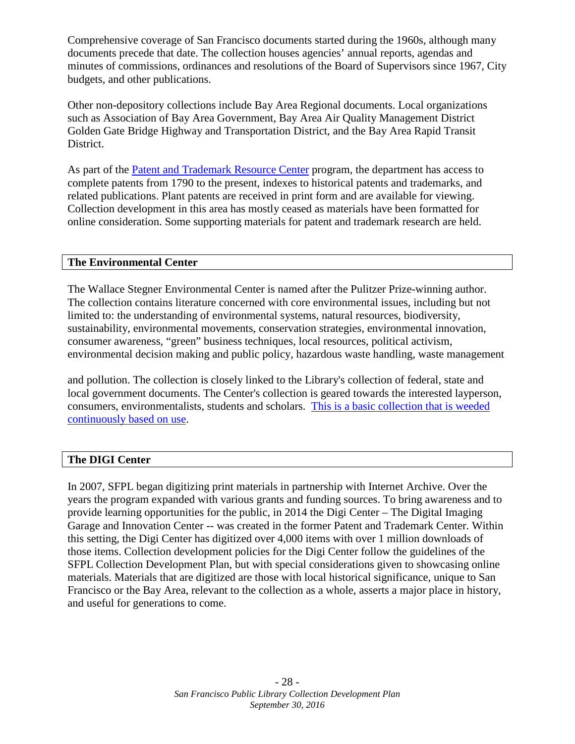Comprehensive coverage of San Francisco documents started during the 1960s, although many documents precede that date. The collection houses agencies' annual reports, agendas and minutes of commissions, ordinances and resolutions of the Board of Supervisors since 1967, City budgets, and other publications.

Other non-depository collections include Bay Area Regional documents. Local organizations such as Association of Bay Area Government, Bay Area Air Quality Management District Golden Gate Bridge Highway and Transportation District, and the Bay Area Rapid Transit District.

As part of the [Patent and Trademark Resource Center](http://www.uspto.gov/learning-and-resources/support-centers/patent-and-trademark-resource-centers-ptrcs) program, the department has access to complete patents from 1790 to the present, indexes to historical patents and trademarks, and related publications. Plant patents are received in print form and are available for viewing. Collection development in this area has mostly ceased as materials have been formatted for online consideration. Some supporting materials for patent and trademark research are held.

#### **The Environmental Center**

The Wallace Stegner Environmental Center is named after the Pulitzer Prize-winning author. The collection contains literature concerned with core environmental issues, including but not limited to: the understanding of environmental systems, natural resources, biodiversity, sustainability, environmental movements, conservation strategies, environmental innovation, consumer awareness, "green" business techniques, local resources, political activism, environmental decision making and public policy, hazardous waste handling, waste management

and pollution. The collection is closely linked to the Library's collection of federal, state and local government documents. The Center's collection is geared towards the interested layperson, consumers, environmentalists, students and scholars. [This is a basic collection that is weeded](http://sfpl.org/index.php?pg=2000011501)  [continuously based on use.](http://sfpl.org/index.php?pg=2000011501)

#### **The DIGI Center**

In 2007, SFPL began digitizing print materials in partnership with Internet Archive. Over the years the program expanded with various grants and funding sources. To bring awareness and to provide learning opportunities for the public, in 2014 the Digi Center – The Digital Imaging Garage and Innovation Center -- was created in the former Patent and Trademark Center. Within this setting, the Digi Center has digitized over 4,000 items with over 1 million downloads of those items. Collection development policies for the Digi Center follow the guidelines of the SFPL Collection Development Plan, but with special considerations given to showcasing online materials. Materials that are digitized are those with local historical significance, unique to San Francisco or the Bay Area, relevant to the collection as a whole, asserts a major place in history, and useful for generations to come.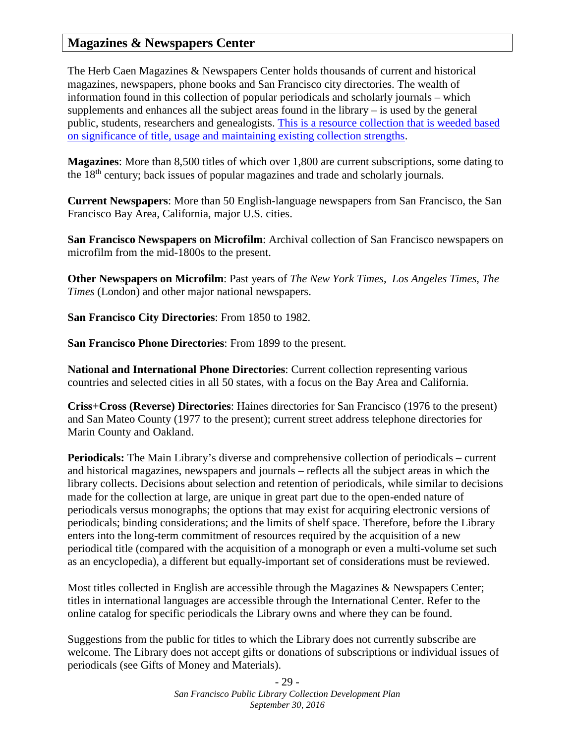## **Magazines & Newspapers Center**

The Herb Caen Magazines & Newspapers Center holds thousands of current and historical magazines, newspapers, phone books and San Francisco city directories. The wealth of information found in this collection of popular periodicals and scholarly journals – which supplements and enhances all the subject areas found in the library – is used by the general public, students, researchers and genealogists. [This is a resource collection that is weeded based](http://sfpl.org/index.php?pg=2000011501)  [on significance of title, usage and maintaining existing collection strengths.](http://sfpl.org/index.php?pg=2000011501)

**Magazines**: More than 8,500 titles of which over 1,800 are current subscriptions, some dating to the 18th century; back issues of popular magazines and trade and scholarly journals.

**Current Newspapers**: More than 50 English-language newspapers from San Francisco, the San Francisco Bay Area, California, major U.S. cities.

**San Francisco Newspapers on Microfilm**: Archival collection of San Francisco newspapers on microfilm from the mid-1800s to the present.

**Other Newspapers on Microfilm**: Past years of *The New York Times*, *Los Angeles Times*, *The Times* (London) and other major national newspapers.

**San Francisco City Directories**: From 1850 to 1982.

**San Francisco Phone Directories**: From 1899 to the present.

**National and International Phone Directories**: Current collection representing various countries and selected cities in all 50 states, with a focus on the Bay Area and California.

**Criss+Cross (Reverse) Directories**: Haines directories for San Francisco (1976 to the present) and San Mateo County (1977 to the present); current street address telephone directories for Marin County and Oakland.

**Periodicals:** The Main Library's diverse and comprehensive collection of periodicals – current and historical magazines, newspapers and journals – reflects all the subject areas in which the library collects. Decisions about selection and retention of periodicals, while similar to decisions made for the collection at large, are unique in great part due to the open-ended nature of periodicals versus monographs; the options that may exist for acquiring electronic versions of periodicals; binding considerations; and the limits of shelf space. Therefore, before the Library enters into the long-term commitment of resources required by the acquisition of a new periodical title (compared with the acquisition of a monograph or even a multi-volume set such as an encyclopedia), a different but equally-important set of considerations must be reviewed.

Most titles collected in English are accessible through the Magazines & Newspapers Center; titles in international languages are accessible through the International Center. Refer to the online catalog for specific periodicals the Library owns and where they can be found.

Suggestions from the public for titles to which the Library does not currently subscribe are welcome. The Library does not accept gifts or donations of subscriptions or individual issues of periodicals (see Gifts of Money and Materials).

> - 29 - *San Francisco Public Library Collection Development Plan September 30, 2016*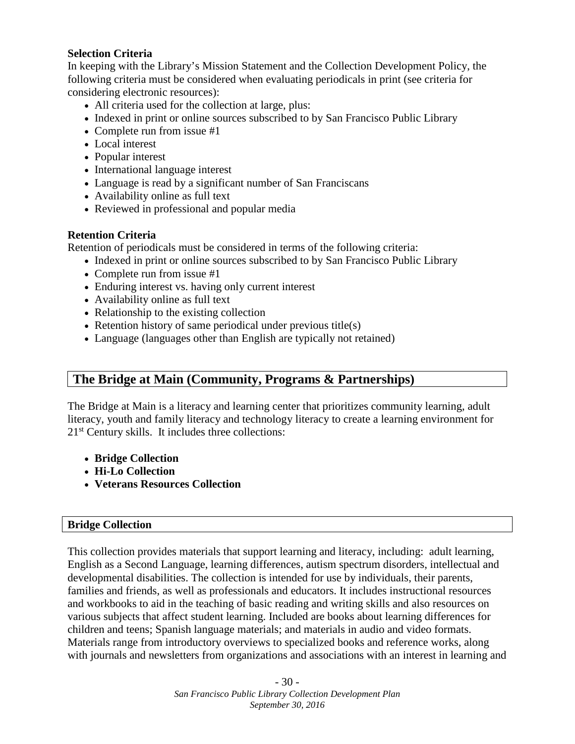#### **Selection Criteria**

In keeping with the Library's Mission Statement and the Collection Development Policy, the following criteria must be considered when evaluating periodicals in print (see criteria for considering electronic resources):

- All criteria used for the collection at large, plus:
- Indexed in print or online sources subscribed to by San Francisco Public Library
- Complete run from issue #1
- Local interest
- Popular interest
- International language interest
- Language is read by a significant number of San Franciscans
- Availability online as full text
- Reviewed in professional and popular media

#### **Retention Criteria**

Retention of periodicals must be considered in terms of the following criteria:

- Indexed in print or online sources subscribed to by San Francisco Public Library
- Complete run from issue #1
- Enduring interest vs. having only current interest
- Availability online as full text
- Relationship to the existing collection
- Retention history of same periodical under previous title(s)
- Language (languages other than English are typically not retained)

## **The Bridge at Main (Community, Programs & Partnerships)**

The Bridge at Main is a literacy and learning center that prioritizes community learning, adult literacy, youth and family literacy and technology literacy to create a learning environment for 21st Century skills. It includes three collections:

- **Bridge Collection**
- **Hi-Lo Collection**
- **Veterans Resources Collection**

#### **Bridge Collection**

This collection provides materials that support learning and literacy, including: adult learning, English as a Second Language, learning differences, autism spectrum disorders, intellectual and developmental disabilities. The collection is intended for use by individuals, their parents, families and friends, as well as professionals and educators. It includes instructional resources and workbooks to aid in the teaching of basic reading and writing skills and also resources on various subjects that affect student learning. Included are books about learning differences for children and teens; Spanish language materials; and materials in audio and video formats. Materials range from introductory overviews to specialized books and reference works, along with journals and newsletters from organizations and associations with an interest in learning and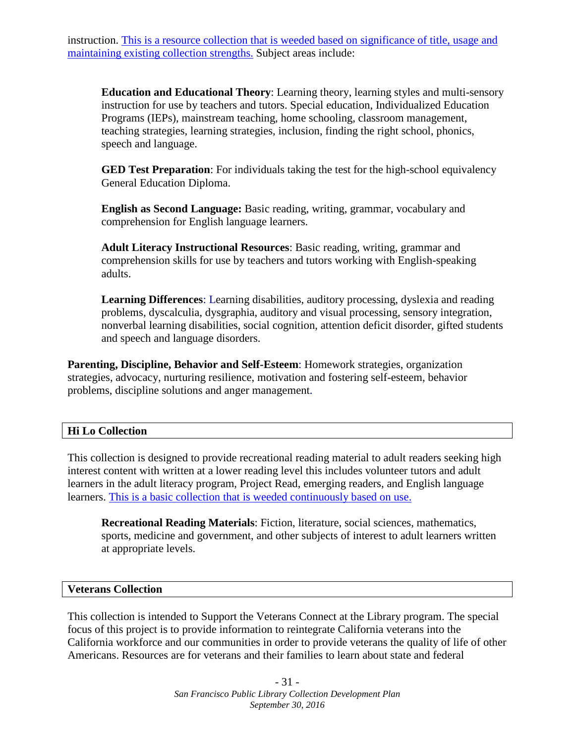instruction. [This is a resource collection that is weeded based on significance of title, usage and](http://sfpl.org/index.php?pg=2000011501) [maintaining existing collection strengths.](http://sfpl.org/index.php?pg=2000011501) Subject areas include:

**Education and Educational Theory**: Learning theory, learning styles and multi-sensory instruction for use by teachers and tutors. Special education, Individualized Education Programs (IEPs), mainstream teaching, home schooling, classroom management, teaching strategies, learning strategies, inclusion, finding the right school, phonics, speech and language.

**GED Test Preparation**: For individuals taking the test for the high-school equivalency General Education Diploma.

**English as Second Language:** Basic reading, writing, grammar, vocabulary and comprehension for English language learners.

**Adult Literacy Instructional Resources**: Basic reading, writing, grammar and comprehension skills for use by teachers and tutors working with English-speaking adults.

**Learning Differences**: Learning disabilities, auditory processing, dyslexia and reading problems, dyscalculia, dysgraphia, auditory and visual processing, sensory integration, nonverbal learning disabilities, social cognition, attention deficit disorder, gifted students and speech and language disorders.

**Parenting, Discipline, Behavior and Self-Esteem**: Homework strategies, organization strategies, advocacy, nurturing resilience, motivation and fostering self-esteem, behavior problems, discipline solutions and anger management.

#### **Hi Lo Collection**

This collection is designed to provide recreational reading material to adult readers seeking high interest content with written at a lower reading level this includes volunteer tutors and adult learners in the adult literacy program, Project Read, emerging readers, and English language learners. [This is a basic collection that is weeded continuously based on use.](http://sfpl.org/index.php?pg=2000011501)

**Recreational Reading Materials**: Fiction, literature, social sciences, mathematics, sports, medicine and government, and other subjects of interest to adult learners written at appropriate levels.

#### **Veterans Collection**

This collection is intended to Support the Veterans Connect at the Library program. The special focus of this project is to provide information to reintegrate California veterans into the California workforce and our communities in order to provide veterans the quality of life of other Americans. Resources are for veterans and their families to learn about state and federal

> - 31 - *San Francisco Public Library Collection Development Plan September 30, 2016*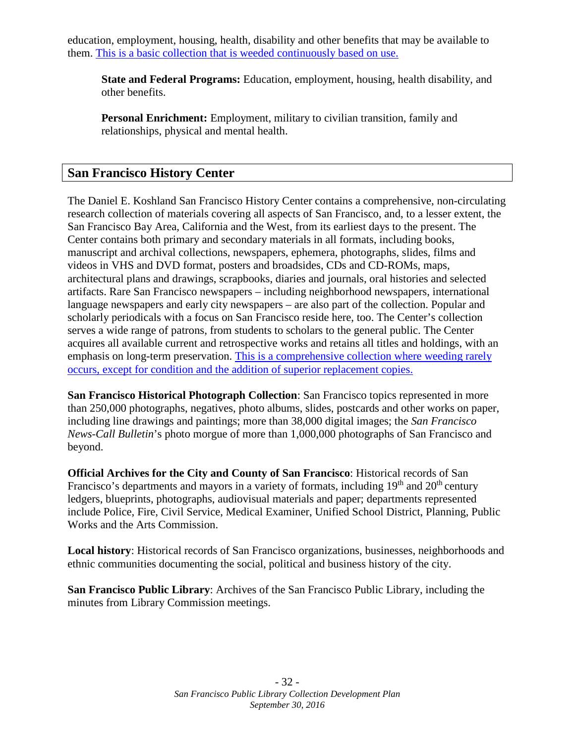education, employment, housing, health, disability and other benefits that may be available to them. [This is a basic collection that is weeded continuously based on use.](http://sfpl.org/index.php?pg=2000011501)

**State and Federal Programs:** Education, employment, housing, health disability, and other benefits.

**Personal Enrichment:** Employment, military to civilian transition, family and relationships, physical and mental health.

## **San Francisco History Center**

The Daniel E. Koshland San Francisco History Center contains a comprehensive, non-circulating research collection of materials covering all aspects of San Francisco, and, to a lesser extent, the San Francisco Bay Area, California and the West, from its earliest days to the present. The Center contains both primary and secondary materials in all formats, including books, manuscript and archival collections, newspapers, ephemera, photographs, slides, films and videos in VHS and DVD format, posters and broadsides, CDs and CD-ROMs, maps, architectural plans and drawings, scrapbooks, diaries and journals, oral histories and selected artifacts. Rare San Francisco newspapers – including neighborhood newspapers, international language newspapers and early city newspapers – are also part of the collection. Popular and scholarly periodicals with a focus on San Francisco reside here, too. The Center's collection serves a wide range of patrons, from students to scholars to the general public. The Center acquires all available current and retrospective works and retains all titles and holdings, with an emphasis on long-term preservation. [This is a comprehensive collection where weeding rarely](http://sfpl.org/index.php?pg=2000011501)  [occurs, except for condition and the addition of superior replacement copies.](http://sfpl.org/index.php?pg=2000011501)

**San Francisco Historical Photograph Collection**: San Francisco topics represented in more than 250,000 photographs, negatives, photo albums, slides, postcards and other works on paper, including line drawings and paintings; more than 38,000 digital images; the *San Francisco News-Call Bulletin*'s photo morgue of more than 1,000,000 photographs of San Francisco and beyond.

**Official Archives for the City and County of San Francisco**: Historical records of San Francisco's departments and mayors in a variety of formats, including  $19<sup>th</sup>$  and  $20<sup>th</sup>$  century ledgers, blueprints, photographs, audiovisual materials and paper; departments represented include Police, Fire, Civil Service, Medical Examiner, Unified School District, Planning, Public Works and the Arts Commission.

**Local history**: Historical records of San Francisco organizations, businesses, neighborhoods and ethnic communities documenting the social, political and business history of the city.

**San Francisco Public Library**: Archives of the San Francisco Public Library, including the minutes from Library Commission meetings.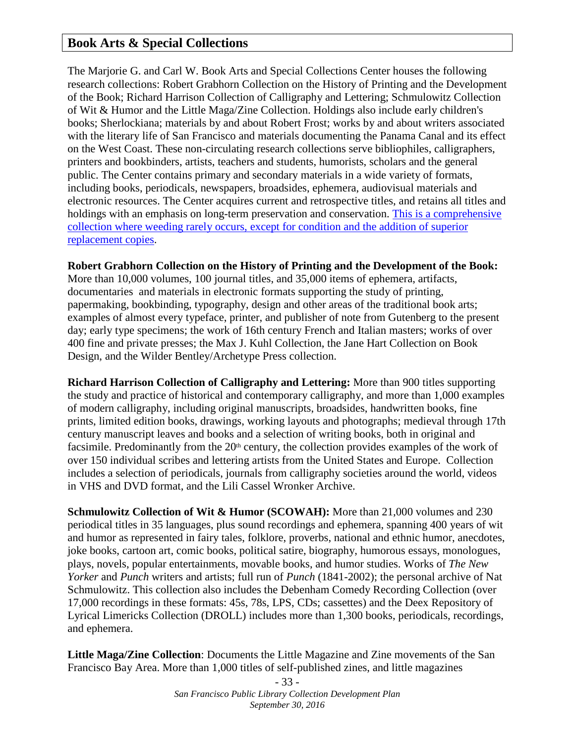## **Book Arts & Special Collections**

The Marjorie G. and Carl W. Book Arts and Special Collections Center houses the following research collections: Robert Grabhorn Collection on the History of Printing and the Development of the Book; Richard Harrison Collection of Calligraphy and Lettering; Schmulowitz Collection of Wit & Humor and the Little Maga/Zine Collection. Holdings also include early children's books; Sherlockiana; materials by and about Robert Frost; works by and about writers associated with the literary life of San Francisco and materials documenting the Panama Canal and its effect on the West Coast. These non-circulating research collections serve bibliophiles, calligraphers, printers and bookbinders, artists, teachers and students, humorists, scholars and the general public. The Center contains primary and secondary materials in a wide variety of formats, including books, periodicals, newspapers, broadsides, ephemera, audiovisual materials and electronic resources. The Center acquires current and retrospective titles, and retains all titles and holdings with an emphasis on long-term preservation and conservation. [This is a comprehensive](http://sfpl.org/index.php?pg=2000011501)  [collection where weeding rarely occurs, except for condition and the addition of superior](http://sfpl.org/index.php?pg=2000011501)  [replacement copies.](http://sfpl.org/index.php?pg=2000011501)

**Robert Grabhorn Collection on the History of Printing and the Development of the Book:**

More than 10,000 volumes, 100 journal titles, and 35,000 items of ephemera, artifacts, documentaries and materials in electronic formats supporting the study of printing, papermaking, bookbinding, typography, design and other areas of the traditional book arts; examples of almost every typeface, printer, and publisher of note from Gutenberg to the present day; early type specimens; the work of 16th century French and Italian masters; works of over 400 fine and private presses; the Max J. Kuhl Collection, the Jane Hart Collection on Book Design, and the Wilder Bentley/Archetype Press collection.

**Richard Harrison Collection of Calligraphy and Lettering:** More than 900 titles supporting the study and practice of historical and contemporary calligraphy, and more than 1,000 examples of modern calligraphy, including original manuscripts, broadsides, handwritten books, fine prints, limited edition books, drawings, working layouts and photographs; medieval through 17th century manuscript leaves and books and a selection of writing books, both in original and facsimile. Predominantly from the  $20<sup>th</sup>$  century, the collection provides examples of the work of over 150 individual scribes and lettering artists from the United States and Europe. Collection includes a selection of periodicals, journals from calligraphy societies around the world, videos in VHS and DVD format, and the Lili Cassel Wronker Archive.

**Schmulowitz Collection of Wit & Humor (SCOWAH):** More than 21,000 volumes and 230 periodical titles in 35 languages, plus sound recordings and ephemera, spanning 400 years of wit and humor as represented in fairy tales, folklore, proverbs, national and ethnic humor, anecdotes, joke books, cartoon art, comic books, political satire, biography, humorous essays, monologues, plays, novels, popular entertainments, movable books, and humor studies. Works of *The New Yorker* and *Punch* writers and artists; full run of *Punch* (1841-2002); the personal archive of Nat Schmulowitz. This collection also includes the Debenham Comedy Recording Collection (over 17,000 recordings in these formats: 45s, 78s, LPS, CDs; cassettes) and the Deex Repository of Lyrical Limericks Collection (DROLL) includes more than 1,300 books, periodicals, recordings, and ephemera.

**Little Maga/Zine Collection**: Documents the Little Magazine and Zine movements of the San Francisco Bay Area. More than 1,000 titles of self-published zines, and little magazines

> - 33 - *San Francisco Public Library Collection Development Plan September 30, 2016*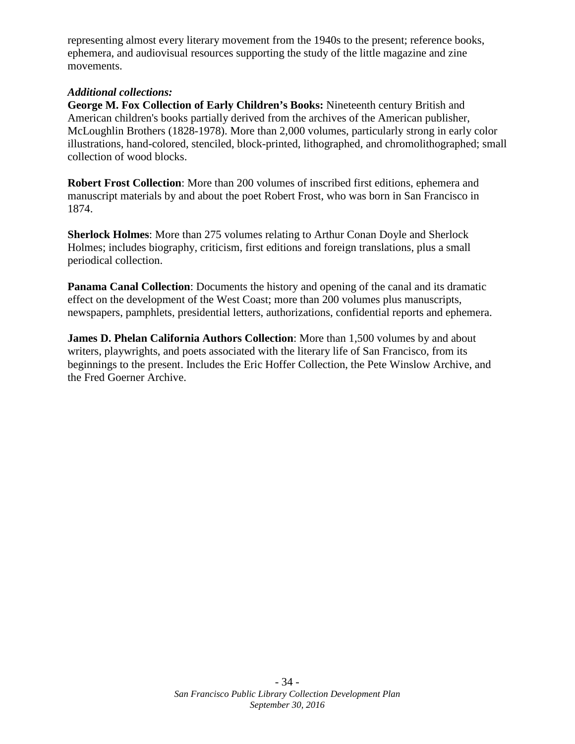representing almost every literary movement from the 1940s to the present; reference books, ephemera, and audiovisual resources supporting the study of the little magazine and zine movements.

#### *Additional collections:*

**George M. Fox Collection of Early Children's Books:** Nineteenth century British and American children's books partially derived from the archives of the American publisher, McLoughlin Brothers (1828-1978). More than 2,000 volumes, particularly strong in early color illustrations, hand-colored, stenciled, block-printed, lithographed, and chromolithographed; small collection of wood blocks.

**Robert Frost Collection**: More than 200 volumes of inscribed first editions, ephemera and manuscript materials by and about the poet Robert Frost, who was born in San Francisco in 1874.

**Sherlock Holmes**: More than 275 volumes relating to Arthur Conan Doyle and Sherlock Holmes; includes biography, criticism, first editions and foreign translations, plus a small periodical collection.

**Panama Canal Collection**: Documents the history and opening of the canal and its dramatic effect on the development of the West Coast; more than 200 volumes plus manuscripts, newspapers, pamphlets, presidential letters, authorizations, confidential reports and ephemera.

**James D. Phelan California Authors Collection**: More than 1,500 volumes by and about writers, playwrights, and poets associated with the literary life of San Francisco, from its beginnings to the present. Includes the Eric Hoffer Collection, the Pete Winslow Archive, and the Fred Goerner Archive.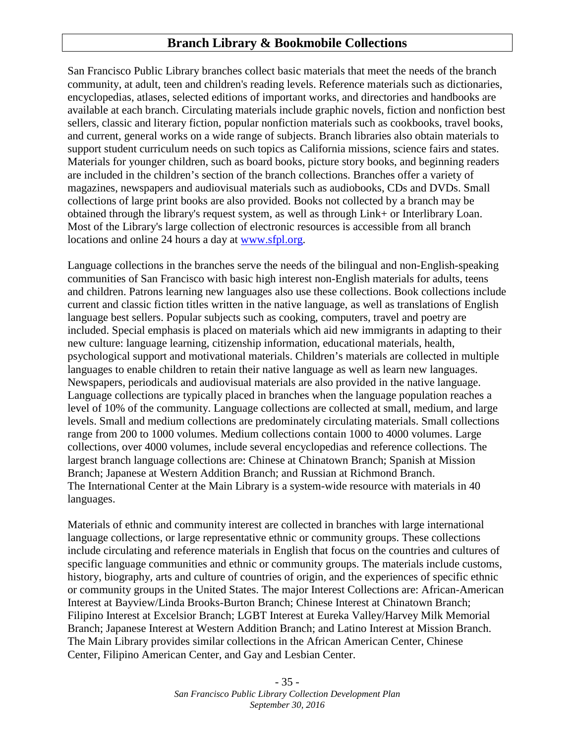## <span id="page-34-0"></span>**Branch Library & Bookmobile Collections**

San Francisco Public Library branches collect basic materials that meet the needs of the branch community, at adult, teen and children's reading levels. Reference materials such as dictionaries, encyclopedias, atlases, selected editions of important works, and directories and handbooks are available at each branch. Circulating materials include graphic novels, fiction and nonfiction best sellers, classic and literary fiction, popular nonfiction materials such as cookbooks, travel books, and current, general works on a wide range of subjects. Branch libraries also obtain materials to support student curriculum needs on such topics as California missions, science fairs and states. Materials for younger children, such as board books, picture story books, and beginning readers are included in the children's section of the branch collections. Branches offer a variety of magazines, newspapers and audiovisual materials such as audiobooks, CDs and DVDs. Small collections of large print books are also provided. Books not collected by a branch may be obtained through the library's request system, as well as through Link+ or Interlibrary Loan. Most of the Library's large collection of electronic resources is accessible from all branch locations and online 24 hours a day at [www.sfpl.org.](file://SF-LIBRARY.ORG/Library/SFPL/SFPL/Collection%20Development%20Office/Collections%20Committee/Collection%20Development%20Plan%20Review/www.sfpl.org)

Language collections in the branches serve the needs of the bilingual and non-English-speaking communities of San Francisco with basic high interest non-English materials for adults, teens and children. Patrons learning new languages also use these collections. Book collections include current and classic fiction titles written in the native language, as well as translations of English language best sellers. Popular subjects such as cooking, computers, travel and poetry are included. Special emphasis is placed on materials which aid new immigrants in adapting to their new culture: language learning, citizenship information, educational materials, health, psychological support and motivational materials. Children's materials are collected in multiple languages to enable children to retain their native language as well as learn new languages. Newspapers, periodicals and audiovisual materials are also provided in the native language. Language collections are typically placed in branches when the language population reaches a level of 10% of the community. Language collections are collected at small, medium, and large levels. Small and medium collections are predominately circulating materials. Small collections range from 200 to 1000 volumes. Medium collections contain 1000 to 4000 volumes. Large collections, over 4000 volumes, include several encyclopedias and reference collections. The largest branch language collections are: Chinese at Chinatown Branch; Spanish at Mission Branch; Japanese at Western Addition Branch; and Russian at Richmond Branch. The International Center at the Main Library is a system-wide resource with materials in 40 languages.

Materials of ethnic and community interest are collected in branches with large international language collections, or large representative ethnic or community groups. These collections include circulating and reference materials in English that focus on the countries and cultures of specific language communities and ethnic or community groups. The materials include customs, history, biography, arts and culture of countries of origin, and the experiences of specific ethnic or community groups in the United States. The major Interest Collections are: African-American Interest at Bayview/Linda Brooks-Burton Branch; Chinese Interest at Chinatown Branch; Filipino Interest at Excelsior Branch; LGBT Interest at Eureka Valley/Harvey Milk Memorial Branch; Japanese Interest at Western Addition Branch; and Latino Interest at Mission Branch. The Main Library provides similar collections in the African American Center, Chinese Center, Filipino American Center, and Gay and Lesbian Center.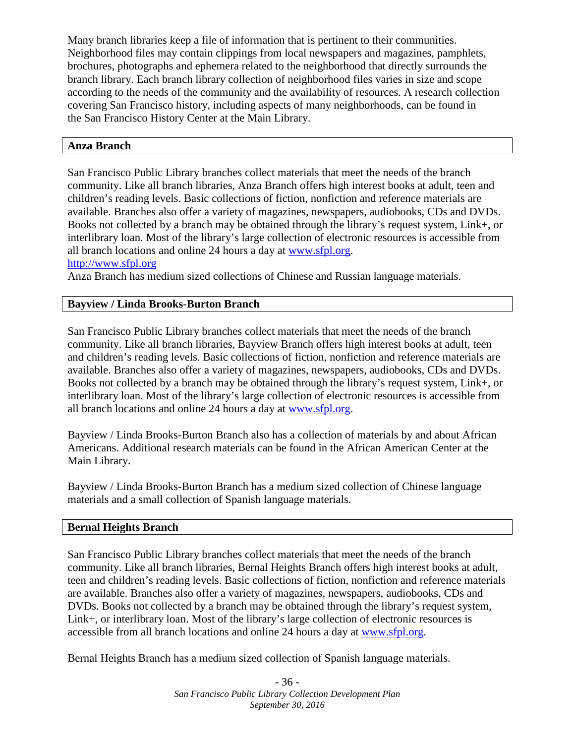Many branch libraries keep a file of information that is pertinent to their communities. Neighborhood files may contain clippings from local newspapers and magazines, pamphlets, brochures, photographs and ephemera related to the neighborhood that directly surrounds the branch library. Each branch library collection of neighborhood files varies in size and scope according to the needs of the community and the availability of resources. A research collection covering San Francisco history, including aspects of many neighborhoods, can be found in the San Francisco History Center at the Main Library.

#### **Anza Branch**

San Francisco Public Library branches collect materials that meet the needs of the branch community. Like all branch libraries, Anza Branch offers high interest books at adult, teen and children's reading levels. Basic collections of fiction, nonfiction and reference materials are available. Branches also offer a variety of magazines, newspapers, audiobooks, CDs and DVDs. Books not collected by a branch may be obtained through the library's request system, Link+, or interlibrary loan. Most of the library's large collection of electronic resources is accessible from all branch locations and online 24 hours a day at [www.sfpl.org.](file://SF-LIBRARY.ORG/Library/SFPL/SFPL/Collection%20Development%20Office/Collections%20Committee/Collection%20Development%20Plan%20Review/www.sfpl.org)

#### [http://www.sfpl.org](http://www.sfpl.org/)

Anza Branch has medium sized collections of Chinese and Russian language materials.

#### **Bayview / Linda Brooks-Burton Branch**

San Francisco Public Library branches collect materials that meet the needs of the branch community. Like all branch libraries, Bayview Branch offers high interest books at adult, teen and children's reading levels. Basic collections of fiction, nonfiction and reference materials are available. Branches also offer a variety of magazines, newspapers, audiobooks, CDs and DVDs. Books not collected by a branch may be obtained through the library's request system, Link+, or interlibrary loan. Most of the library's large collection of electronic resources is accessible from all branch locations and online 24 hours a day at [www.sfpl.org.](file://SF-LIBRARY.ORG/Library/SFPL/SFPL/Collection%20Development%20Office/Collections%20Committee/Collection%20Development%20Plan%20Review/www.sfpl.org)

Bayview / Linda Brooks-Burton Branch also has a collection of materials by and about African Americans. Additional research materials can be found in the African American Center at the Main Library.

Bayview / Linda Brooks-Burton Branch has a medium sized collection of Chinese language materials and a small collection of Spanish language materials.

#### **Bernal Heights Branch**

San Francisco Public Library branches collect materials that meet the needs of the branch community. Like all branch libraries, Bernal Heights Branch offers high interest books at adult, teen and children's reading levels. Basic collections of fiction, nonfiction and reference materials are available. Branches also offer a variety of magazines, newspapers, audiobooks, CDs and DVDs. Books not collected by a branch may be obtained through the library's request system, Link+, or interlibrary loan. Most of the library's large collection of electronic resources is accessible from all branch locations and online 24 hours a day at [www.sfpl.org.](file://SF-LIBRARY.ORG/Library/SFPL/SFPL/Collection%20Development%20Office/Collections%20Committee/Collection%20Development%20Plan%20Review/www.sfpl.org)

Bernal Heights Branch has a medium sized collection of Spanish language materials.

- 36 - *San Francisco Public Library Collection Development Plan September 30, 2016*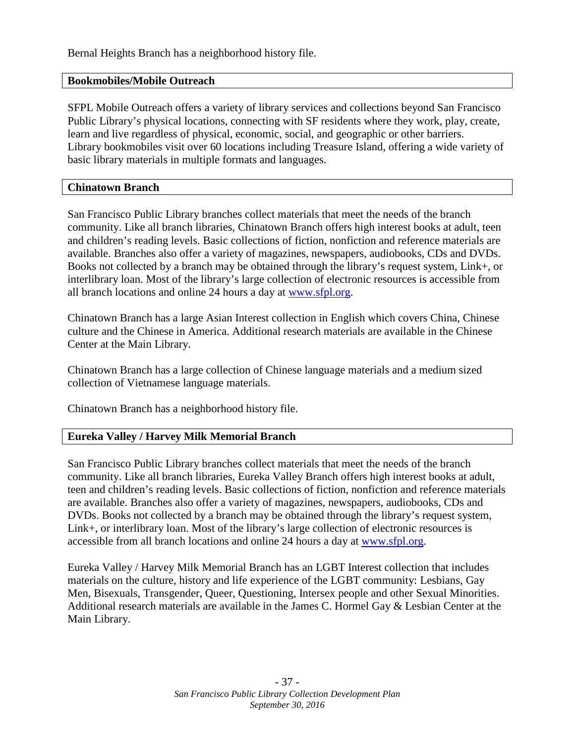Bernal Heights Branch has a neighborhood history file.

#### **Bookmobiles/Mobile Outreach**

SFPL Mobile Outreach offers a variety of library services and collections beyond San Francisco Public Library's physical locations, connecting with SF residents where they work, play, create, learn and live regardless of physical, economic, social, and geographic or other barriers. Library bookmobiles visit over 60 locations including Treasure Island, offering a wide variety of basic library materials in multiple formats and languages.

#### **Chinatown Branch**

San Francisco Public Library branches collect materials that meet the needs of the branch community. Like all branch libraries, Chinatown Branch offers high interest books at adult, teen and children's reading levels. Basic collections of fiction, nonfiction and reference materials are available. Branches also offer a variety of magazines, newspapers, audiobooks, CDs and DVDs. Books not collected by a branch may be obtained through the library's request system, Link+, or interlibrary loan. Most of the library's large collection of electronic resources is accessible from all branch locations and online 24 hours a day at [www.sfpl.org.](file://SF-LIBRARY.ORG/Library/SFPL/SFPL/Collection%20Development%20Office/Collections%20Committee/Collection%20Development%20Plan%20Review/www.sfpl.org)

Chinatown Branch has a large Asian Interest collection in English which covers China, Chinese culture and the Chinese in America. Additional research materials are available in the Chinese Center at the Main Library.

Chinatown Branch has a large collection of Chinese language materials and a medium sized collection of Vietnamese language materials.

Chinatown Branch has a neighborhood history file.

#### **Eureka Valley / Harvey Milk Memorial Branch**

San Francisco Public Library branches collect materials that meet the needs of the branch community. Like all branch libraries, Eureka Valley Branch offers high interest books at adult, teen and children's reading levels. Basic collections of fiction, nonfiction and reference materials are available. Branches also offer a variety of magazines, newspapers, audiobooks, CDs and DVDs. Books not collected by a branch may be obtained through the library's request system, Link+, or interlibrary loan. Most of the library's large collection of electronic resources is accessible from all branch locations and online 24 hours a day at [www.sfpl.org.](file://SF-LIBRARY.ORG/Library/SFPL/SFPL/Collection%20Development%20Office/Collections%20Committee/Collection%20Development%20Plan%20Review/www.sfpl.org)

Eureka Valley / Harvey Milk Memorial Branch has an LGBT Interest collection that includes materials on the culture, history and life experience of the LGBT community: Lesbians, Gay Men, Bisexuals, Transgender, Queer, Questioning, Intersex people and other Sexual Minorities. Additional research materials are available in the James C. Hormel Gay & Lesbian Center at the Main Library.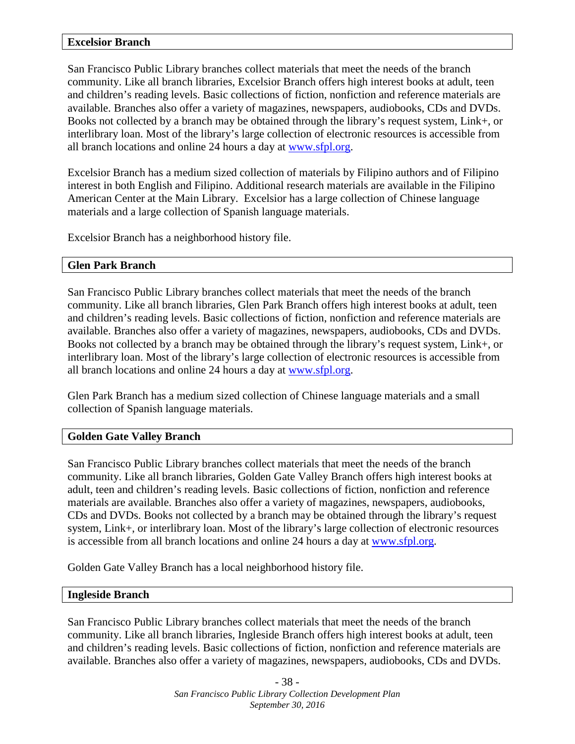#### **Excelsior Branch**

San Francisco Public Library branches collect materials that meet the needs of the branch community. Like all branch libraries, Excelsior Branch offers high interest books at adult, teen and children's reading levels. Basic collections of fiction, nonfiction and reference materials are available. Branches also offer a variety of magazines, newspapers, audiobooks, CDs and DVDs. Books not collected by a branch may be obtained through the library's request system, Link+, or interlibrary loan. Most of the library's large collection of electronic resources is accessible from all branch locations and online 24 hours a day at [www.sfpl.org.](file://SF-LIBRARY.ORG/Library/SFPL/SFPL/Collection%20Development%20Office/Collections%20Committee/Collection%20Development%20Plan%20Review/www.sfpl.org)

Excelsior Branch has a medium sized collection of materials by Filipino authors and of Filipino interest in both English and Filipino. Additional research materials are available in the Filipino American Center at the Main Library. Excelsior has a large collection of Chinese language materials and a large collection of Spanish language materials.

Excelsior Branch has a neighborhood history file.

#### **Glen Park Branch**

San Francisco Public Library branches collect materials that meet the needs of the branch community. Like all branch libraries, Glen Park Branch offers high interest books at adult, teen and children's reading levels. Basic collections of fiction, nonfiction and reference materials are available. Branches also offer a variety of magazines, newspapers, audiobooks, CDs and DVDs. Books not collected by a branch may be obtained through the library's request system, Link+, or interlibrary loan. Most of the library's large collection of electronic resources is accessible from all branch locations and online 24 hours a day at [www.sfpl.org.](file://SF-LIBRARY.ORG/Library/SFPL/SFPL/Collection%20Development%20Office/Collections%20Committee/Collection%20Development%20Plan%20Review/www.sfpl.org)

Glen Park Branch has a medium sized collection of Chinese language materials and a small collection of Spanish language materials.

#### **Golden Gate Valley Branch**

San Francisco Public Library branches collect materials that meet the needs of the branch community. Like all branch libraries, Golden Gate Valley Branch offers high interest books at adult, teen and children's reading levels. Basic collections of fiction, nonfiction and reference materials are available. Branches also offer a variety of magazines, newspapers, audiobooks, CDs and DVDs. Books not collected by a branch may be obtained through the library's request system, Link+, or interlibrary loan. Most of the library's large collection of electronic resources is accessible from all branch locations and online 24 hours a day at [www.sfpl.org.](file://SF-LIBRARY.ORG/Library/SFPL/SFPL/Collection%20Development%20Office/Collections%20Committee/Collection%20Development%20Plan%20Review/www.sfpl.org)

Golden Gate Valley Branch has a local neighborhood history file.

#### **Ingleside Branch**

San Francisco Public Library branches collect materials that meet the needs of the branch community. Like all branch libraries, Ingleside Branch offers high interest books at adult, teen and children's reading levels. Basic collections of fiction, nonfiction and reference materials are available. Branches also offer a variety of magazines, newspapers, audiobooks, CDs and DVDs.

> - 38 - *San Francisco Public Library Collection Development Plan September 30, 2016*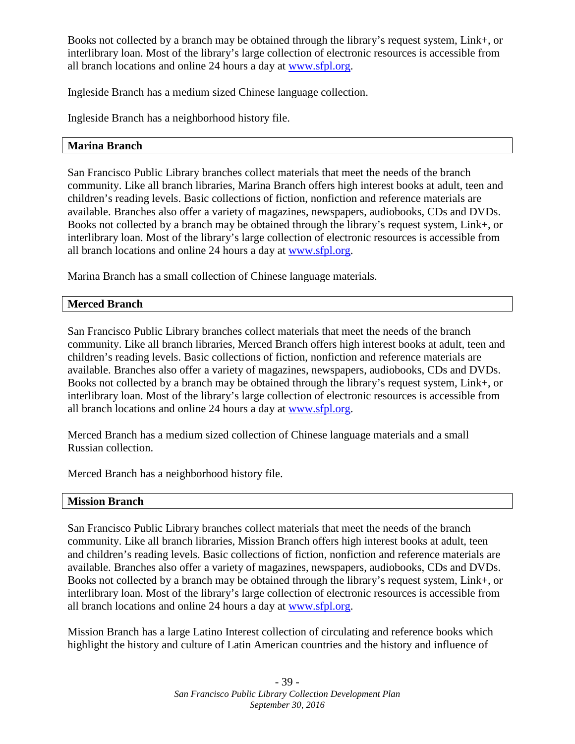Books not collected by a branch may be obtained through the library's request system, Link+, or interlibrary loan. Most of the library's large collection of electronic resources is accessible from all branch locations and online 24 hours a day at [www.sfpl.org.](file://SF-LIBRARY.ORG/Library/SFPL/SFPL/Collection%20Development%20Office/Collections%20Committee/Collection%20Development%20Plan%20Review/www.sfpl.org)

Ingleside Branch has a medium sized Chinese language collection.

Ingleside Branch has a neighborhood history file.

#### **Marina Branch**

San Francisco Public Library branches collect materials that meet the needs of the branch community. Like all branch libraries, Marina Branch offers high interest books at adult, teen and children's reading levels. Basic collections of fiction, nonfiction and reference materials are available. Branches also offer a variety of magazines, newspapers, audiobooks, CDs and DVDs. Books not collected by a branch may be obtained through the library's request system, Link+, or interlibrary loan. Most of the library's large collection of electronic resources is accessible from all branch locations and online 24 hours a day at [www.sfpl.org.](file://SF-LIBRARY.ORG/Library/SFPL/SFPL/Collection%20Development%20Office/Collections%20Committee/Collection%20Development%20Plan%20Review/www.sfpl.org)

Marina Branch has a small collection of Chinese language materials.

#### **Merced Branch**

San Francisco Public Library branches collect materials that meet the needs of the branch community. Like all branch libraries, Merced Branch offers high interest books at adult, teen and children's reading levels. Basic collections of fiction, nonfiction and reference materials are available. Branches also offer a variety of magazines, newspapers, audiobooks, CDs and DVDs. Books not collected by a branch may be obtained through the library's request system, Link+, or interlibrary loan. Most of the library's large collection of electronic resources is accessible from all branch locations and online 24 hours a day at [www.sfpl.org.](file://SF-LIBRARY.ORG/Library/SFPL/SFPL/Collection%20Development%20Office/Collections%20Committee/Collection%20Development%20Plan%20Review/www.sfpl.org)

Merced Branch has a medium sized collection of Chinese language materials and a small Russian collection.

Merced Branch has a neighborhood history file.

#### **Mission Branch**

San Francisco Public Library branches collect materials that meet the needs of the branch community. Like all branch libraries, Mission Branch offers high interest books at adult, teen and children's reading levels. Basic collections of fiction, nonfiction and reference materials are available. Branches also offer a variety of magazines, newspapers, audiobooks, CDs and DVDs. Books not collected by a branch may be obtained through the library's request system, Link+, or interlibrary loan. Most of the library's large collection of electronic resources is accessible from all branch locations and online 24 hours a day at [www.sfpl.org.](file://SF-LIBRARY.ORG/Library/SFPL/SFPL/Collection%20Development%20Office/Collections%20Committee/Collection%20Development%20Plan%20Review/www.sfpl.org)

Mission Branch has a large Latino Interest collection of circulating and reference books which highlight the history and culture of Latin American countries and the history and influence of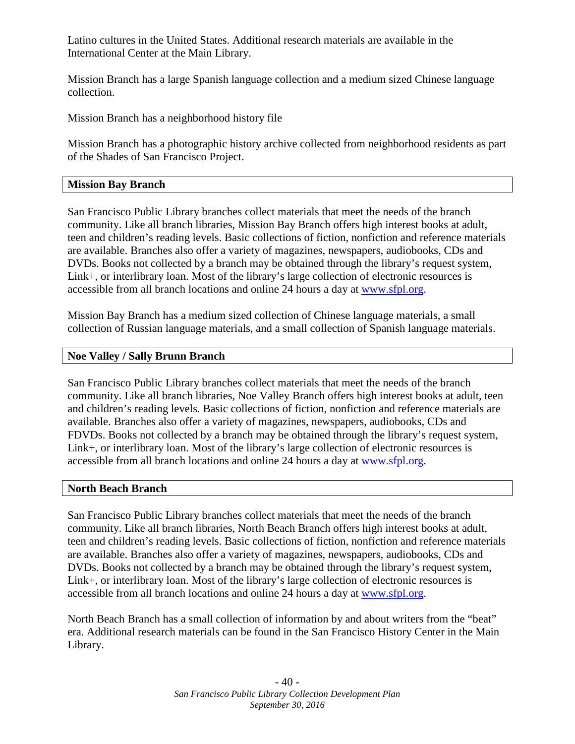Latino cultures in the United States. Additional research materials are available in the International Center at the Main Library.

Mission Branch has a large Spanish language collection and a medium sized Chinese language collection.

Mission Branch has a neighborhood history file

Mission Branch has a photographic history archive collected from neighborhood residents as part of the Shades of San Francisco Project.

#### **Mission Bay Branch**

San Francisco Public Library branches collect materials that meet the needs of the branch community. Like all branch libraries, Mission Bay Branch offers high interest books at adult, teen and children's reading levels. Basic collections of fiction, nonfiction and reference materials are available. Branches also offer a variety of magazines, newspapers, audiobooks, CDs and DVDs. Books not collected by a branch may be obtained through the library's request system, Link+, or interlibrary loan. Most of the library's large collection of electronic resources is accessible from all branch locations and online 24 hours a day at [www.sfpl.org.](file://SF-LIBRARY.ORG/Library/SFPL/SFPL/Collection%20Development%20Office/Collections%20Committee/Collection%20Development%20Plan%20Review/www.sfpl.org)

Mission Bay Branch has a medium sized collection of Chinese language materials, a small collection of Russian language materials, and a small collection of Spanish language materials.

#### **Noe Valley / Sally Brunn Branch**

San Francisco Public Library branches collect materials that meet the needs of the branch community. Like all branch libraries, Noe Valley Branch offers high interest books at adult, teen and children's reading levels. Basic collections of fiction, nonfiction and reference materials are available. Branches also offer a variety of magazines, newspapers, audiobooks, CDs and FDVDs. Books not collected by a branch may be obtained through the library's request system, Link+, or interlibrary loan. Most of the library's large collection of electronic resources is accessible from all branch locations and online 24 hours a day at [www.sfpl.org.](file://SF-LIBRARY.ORG/Library/SFPL/SFPL/Collection%20Development%20Office/Collections%20Committee/Collection%20Development%20Plan%20Review/www.sfpl.org)

#### **North Beach Branch**

San Francisco Public Library branches collect materials that meet the needs of the branch community. Like all branch libraries, North Beach Branch offers high interest books at adult, teen and children's reading levels. Basic collections of fiction, nonfiction and reference materials are available. Branches also offer a variety of magazines, newspapers, audiobooks, CDs and DVDs. Books not collected by a branch may be obtained through the library's request system, Link+, or interlibrary loan. Most of the library's large collection of electronic resources is accessible from all branch locations and online 24 hours a day at [www.sfpl.org.](file://SF-LIBRARY.ORG/Library/SFPL/SFPL/Collection%20Development%20Office/Collections%20Committee/Collection%20Development%20Plan%20Review/www.sfpl.org)

North Beach Branch has a small collection of information by and about writers from the "beat" era. Additional research materials can be found in the San Francisco History Center in the Main Library.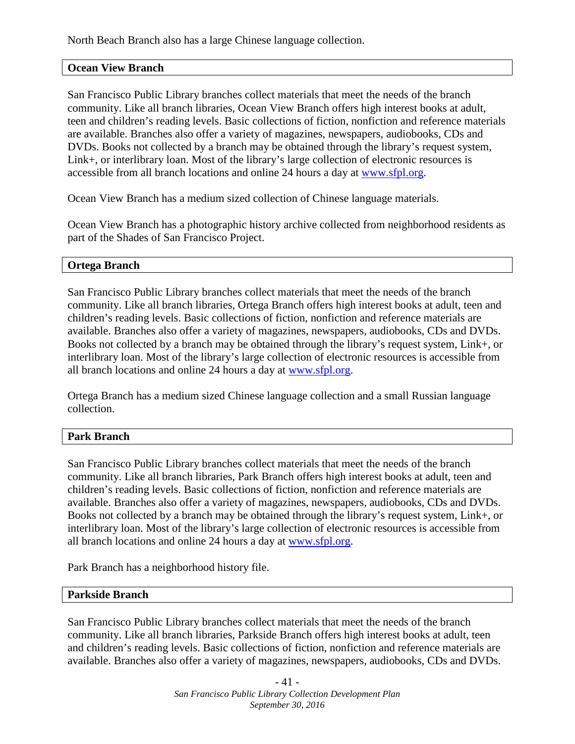North Beach Branch also has a large Chinese language collection.

#### **Ocean View Branch**

San Francisco Public Library branches collect materials that meet the needs of the branch community. Like all branch libraries, Ocean View Branch offers high interest books at adult, teen and children's reading levels. Basic collections of fiction, nonfiction and reference materials are available. Branches also offer a variety of magazines, newspapers, audiobooks, CDs and DVDs. Books not collected by a branch may be obtained through the library's request system, Link+, or interlibrary loan. Most of the library's large collection of electronic resources is accessible from all branch locations and online 24 hours a day at [www.sfpl.org.](file://SF-LIBRARY.ORG/Library/SFPL/SFPL/Collection%20Development%20Office/Collections%20Committee/Collection%20Development%20Plan%20Review/www.sfpl.org)

Ocean View Branch has a medium sized collection of Chinese language materials.

Ocean View Branch has a photographic history archive collected from neighborhood residents as part of the Shades of San Francisco Project.

#### **Ortega Branch**

San Francisco Public Library branches collect materials that meet the needs of the branch community. Like all branch libraries, Ortega Branch offers high interest books at adult, teen and children's reading levels. Basic collections of fiction, nonfiction and reference materials are available. Branches also offer a variety of magazines, newspapers, audiobooks, CDs and DVDs. Books not collected by a branch may be obtained through the library's request system, Link+, or interlibrary loan. Most of the library's large collection of electronic resources is accessible from all branch locations and online 24 hours a day at [www.sfpl.org.](file://SF-LIBRARY.ORG/Library/SFPL/SFPL/Collection%20Development%20Office/Collections%20Committee/Collection%20Development%20Plan%20Review/www.sfpl.org)

Ortega Branch has a medium sized Chinese language collection and a small Russian language collection.

#### **Park Branch**

San Francisco Public Library branches collect materials that meet the needs of the branch community. Like all branch libraries, Park Branch offers high interest books at adult, teen and children's reading levels. Basic collections of fiction, nonfiction and reference materials are available. Branches also offer a variety of magazines, newspapers, audiobooks, CDs and DVDs. Books not collected by a branch may be obtained through the library's request system, Link+, or interlibrary loan. Most of the library's large collection of electronic resources is accessible from all branch locations and online 24 hours a day at [www.sfpl.org.](file://SF-LIBRARY.ORG/Library/SFPL/SFPL/Collection%20Development%20Office/Collections%20Committee/Collection%20Development%20Plan%20Review/www.sfpl.org)

Park Branch has a neighborhood history file.

#### **Parkside Branch**

San Francisco Public Library branches collect materials that meet the needs of the branch community. Like all branch libraries, Parkside Branch offers high interest books at adult, teen and children's reading levels. Basic collections of fiction, nonfiction and reference materials are available. Branches also offer a variety of magazines, newspapers, audiobooks, CDs and DVDs.

> - 41 - *San Francisco Public Library Collection Development Plan September 30, 2016*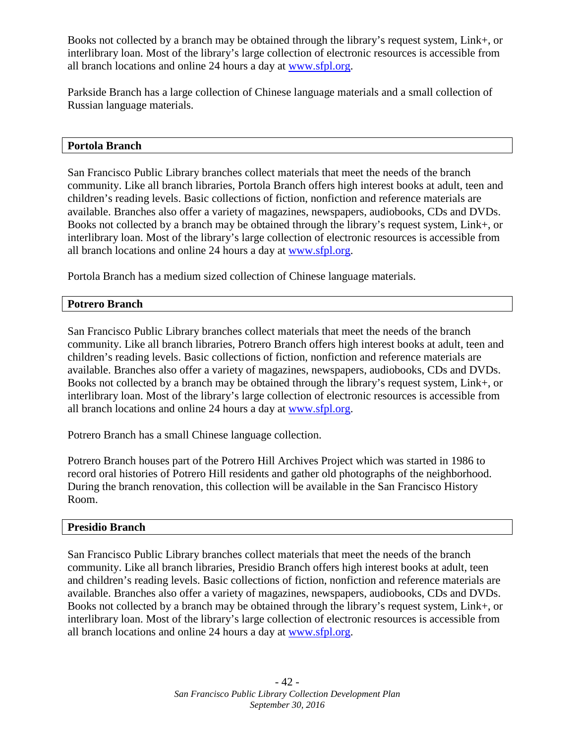Books not collected by a branch may be obtained through the library's request system, Link+, or interlibrary loan. Most of the library's large collection of electronic resources is accessible from all branch locations and online 24 hours a day at [www.sfpl.org.](file://SF-LIBRARY.ORG/Library/SFPL/SFPL/Collection%20Development%20Office/Collections%20Committee/Collection%20Development%20Plan%20Review/www.sfpl.org)

Parkside Branch has a large collection of Chinese language materials and a small collection of Russian language materials.

#### **Portola Branch**

San Francisco Public Library branches collect materials that meet the needs of the branch community. Like all branch libraries, Portola Branch offers high interest books at adult, teen and children's reading levels. Basic collections of fiction, nonfiction and reference materials are available. Branches also offer a variety of magazines, newspapers, audiobooks, CDs and DVDs. Books not collected by a branch may be obtained through the library's request system, Link+, or interlibrary loan. Most of the library's large collection of electronic resources is accessible from all branch locations and online 24 hours a day at [www.sfpl.org.](file://SF-LIBRARY.ORG/Library/SFPL/SFPL/Collection%20Development%20Office/Collections%20Committee/Collection%20Development%20Plan%20Review/www.sfpl.org)

Portola Branch has a medium sized collection of Chinese language materials.

#### **Potrero Branch**

San Francisco Public Library branches collect materials that meet the needs of the branch community. Like all branch libraries, Potrero Branch offers high interest books at adult, teen and children's reading levels. Basic collections of fiction, nonfiction and reference materials are available. Branches also offer a variety of magazines, newspapers, audiobooks, CDs and DVDs. Books not collected by a branch may be obtained through the library's request system, Link+, or interlibrary loan. Most of the library's large collection of electronic resources is accessible from all branch locations and online 24 hours a day at [www.sfpl.org.](file://SF-LIBRARY.ORG/Library/SFPL/SFPL/Collection%20Development%20Office/Collections%20Committee/Collection%20Development%20Plan%20Review/www.sfpl.org)

Potrero Branch has a small Chinese language collection.

Potrero Branch houses part of the Potrero Hill Archives Project which was started in 1986 to record oral histories of Potrero Hill residents and gather old photographs of the neighborhood. During the branch renovation, this collection will be available in the San Francisco History Room.

#### **Presidio Branch**

San Francisco Public Library branches collect materials that meet the needs of the branch community. Like all branch libraries, Presidio Branch offers high interest books at adult, teen and children's reading levels. Basic collections of fiction, nonfiction and reference materials are available. Branches also offer a variety of magazines, newspapers, audiobooks, CDs and DVDs. Books not collected by a branch may be obtained through the library's request system, Link+, or interlibrary loan. Most of the library's large collection of electronic resources is accessible from all branch locations and online 24 hours a day at [www.sfpl.org.](http://www.sfpl.org/)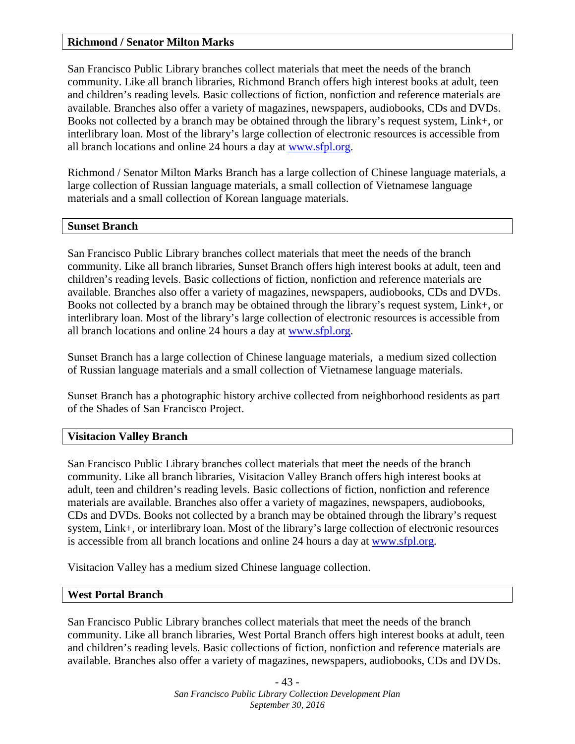#### **Richmond / Senator Milton Marks**

San Francisco Public Library branches collect materials that meet the needs of the branch community. Like all branch libraries, Richmond Branch offers high interest books at adult, teen and children's reading levels. Basic collections of fiction, nonfiction and reference materials are available. Branches also offer a variety of magazines, newspapers, audiobooks, CDs and DVDs. Books not collected by a branch may be obtained through the library's request system, Link+, or interlibrary loan. Most of the library's large collection of electronic resources is accessible from all branch locations and online 24 hours a day at [www.sfpl.org.](file://SF-LIBRARY.ORG/Library/SFPL/SFPL/Collection%20Development%20Office/Collections%20Committee/Collection%20Development%20Plan%20Review/www.sfpl.org)

Richmond / Senator Milton Marks Branch has a large collection of Chinese language materials, a large collection of Russian language materials, a small collection of Vietnamese language materials and a small collection of Korean language materials.

#### **Sunset Branch**

San Francisco Public Library branches collect materials that meet the needs of the branch community. Like all branch libraries, Sunset Branch offers high interest books at adult, teen and children's reading levels. Basic collections of fiction, nonfiction and reference materials are available. Branches also offer a variety of magazines, newspapers, audiobooks, CDs and DVDs. Books not collected by a branch may be obtained through the library's request system, Link+, or interlibrary loan. Most of the library's large collection of electronic resources is accessible from all branch locations and online 24 hours a day at [www.sfpl.org.](file://SF-LIBRARY.ORG/Library/SFPL/SFPL/Collection%20Development%20Office/Collections%20Committee/Collection%20Development%20Plan%20Review/www.sfpl.org)

Sunset Branch has a large collection of Chinese language materials, a medium sized collection of Russian language materials and a small collection of Vietnamese language materials.

Sunset Branch has a photographic history archive collected from neighborhood residents as part of the Shades of San Francisco Project.

#### **Visitacion Valley Branch**

San Francisco Public Library branches collect materials that meet the needs of the branch community. Like all branch libraries, Visitacion Valley Branch offers high interest books at adult, teen and children's reading levels. Basic collections of fiction, nonfiction and reference materials are available. Branches also offer a variety of magazines, newspapers, audiobooks, CDs and DVDs. Books not collected by a branch may be obtained through the library's request system, Link+, or interlibrary loan. Most of the library's large collection of electronic resources is accessible from all branch locations and online 24 hours a day at [www.sfpl.org.](file://SF-LIBRARY.ORG/Library/SFPL/SFPL/Collection%20Development%20Office/Collections%20Committee/Collection%20Development%20Plan%20Review/www.sfpl.org)

Visitacion Valley has a medium sized Chinese language collection.

#### **West Portal Branch**

San Francisco Public Library branches collect materials that meet the needs of the branch community. Like all branch libraries, West Portal Branch offers high interest books at adult, teen and children's reading levels. Basic collections of fiction, nonfiction and reference materials are available. Branches also offer a variety of magazines, newspapers, audiobooks, CDs and DVDs.

> - 43 - *San Francisco Public Library Collection Development Plan September 30, 2016*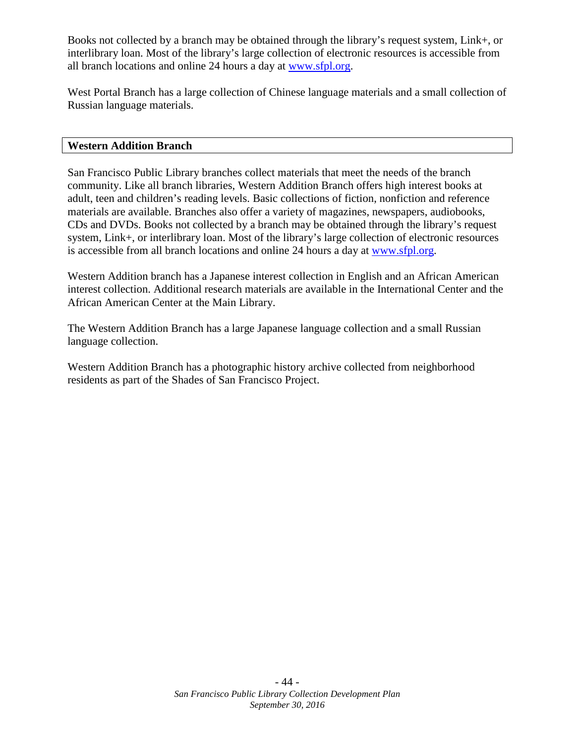Books not collected by a branch may be obtained through the library's request system, Link+, or interlibrary loan. Most of the library's large collection of electronic resources is accessible from all branch locations and online 24 hours a day at [www.sfpl.org.](file://SF-LIBRARY.ORG/Library/SFPL/SFPL/Collection%20Development%20Office/Collections%20Committee/Collection%20Development%20Plan%20Review/www.sfpl.org)

West Portal Branch has a large collection of Chinese language materials and a small collection of Russian language materials.

#### **Western Addition Branch**

San Francisco Public Library branches collect materials that meet the needs of the branch community. Like all branch libraries, Western Addition Branch offers high interest books at adult, teen and children's reading levels. Basic collections of fiction, nonfiction and reference materials are available. Branches also offer a variety of magazines, newspapers, audiobooks, CDs and DVDs. Books not collected by a branch may be obtained through the library's request system, Link+, or interlibrary loan. Most of the library's large collection of electronic resources is accessible from all branch locations and online 24 hours a day at [www.sfpl.org.](file://SF-LIBRARY.ORG/Library/SFPL/SFPL/Collection%20Development%20Office/Collections%20Committee/Collection%20Development%20Plan%20Review/www.sfpl.org)

Western Addition branch has a Japanese interest collection in English and an African American interest collection. Additional research materials are available in the International Center and the African American Center at the Main Library.

The Western Addition Branch has a large Japanese language collection and a small Russian language collection.

Western Addition Branch has a photographic history archive collected from neighborhood residents as part of the Shades of San Francisco Project.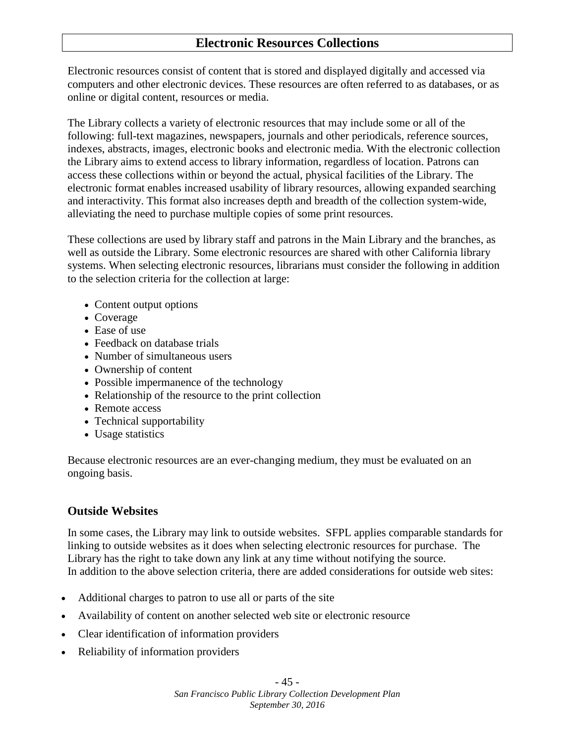## <span id="page-44-0"></span>**Electronic Resources Collections**

Electronic resources consist of content that is stored and displayed digitally and accessed via computers and other electronic devices. These resources are often referred to as databases, or as online or digital content, resources or media.

The Library collects a variety of electronic resources that may include some or all of the following: full-text magazines, newspapers, journals and other periodicals, reference sources, indexes, abstracts, images, electronic books and electronic media. With the electronic collection the Library aims to extend access to library information, regardless of location. Patrons can access these collections within or beyond the actual, physical facilities of the Library. The electronic format enables increased usability of library resources, allowing expanded searching and interactivity. This format also increases depth and breadth of the collection system-wide, alleviating the need to purchase multiple copies of some print resources.

These collections are used by library staff and patrons in the Main Library and the branches, as well as outside the Library. Some electronic resources are shared with other California library systems. When selecting electronic resources, librarians must consider the following in addition to the selection criteria for the collection at large:

- Content output options
- Coverage
- Ease of use
- Feedback on database trials
- Number of simultaneous users
- Ownership of content
- Possible impermanence of the technology
- Relationship of the resource to the print collection
- Remote access
- Technical supportability
- Usage statistics

Because electronic resources are an ever-changing medium, they must be evaluated on an ongoing basis.

#### **Outside Websites**

In some cases, the Library may link to outside websites. SFPL applies comparable standards for linking to outside websites as it does when selecting electronic resources for purchase. The Library has the right to take down any link at any time without notifying the source. In addition to the above selection criteria, there are added considerations for outside web sites:

- Additional charges to patron to use all or parts of the site
- Availability of content on another selected web site or electronic resource
- Clear identification of information providers
- Reliability of information providers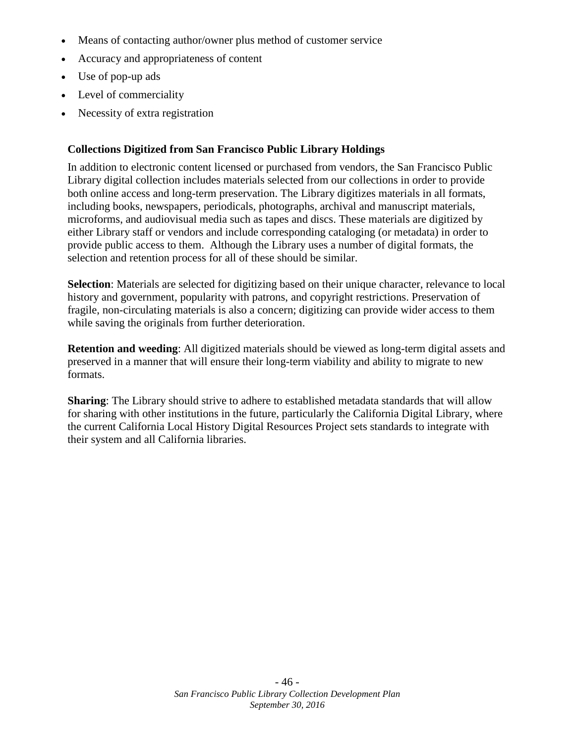- Means of contacting author/owner plus method of customer service
- Accuracy and appropriateness of content
- Use of pop-up ads
- Level of commerciality
- Necessity of extra registration

#### **Collections Digitized from San Francisco Public Library Holdings**

In addition to electronic content licensed or purchased from vendors, the San Francisco Public Library digital collection includes materials selected from our collections in order to provide both online access and long-term preservation. The Library digitizes materials in all formats, including books, newspapers, periodicals, photographs, archival and manuscript materials, microforms, and audiovisual media such as tapes and discs. These materials are digitized by either Library staff or vendors and include corresponding cataloging (or metadata) in order to provide public access to them. Although the Library uses a number of digital formats, the selection and retention process for all of these should be similar.

**Selection**: Materials are selected for digitizing based on their unique character, relevance to local history and government, popularity with patrons, and copyright restrictions. Preservation of fragile, non-circulating materials is also a concern; digitizing can provide wider access to them while saving the originals from further deterioration.

**Retention and weeding**: All digitized materials should be viewed as long-term digital assets and preserved in a manner that will ensure their long-term viability and ability to migrate to new formats.

**Sharing**: The Library should strive to adhere to established metadata standards that will allow for sharing with other institutions in the future, particularly the California Digital Library, where the current California Local History Digital Resources Project sets standards to integrate with their system and all California libraries.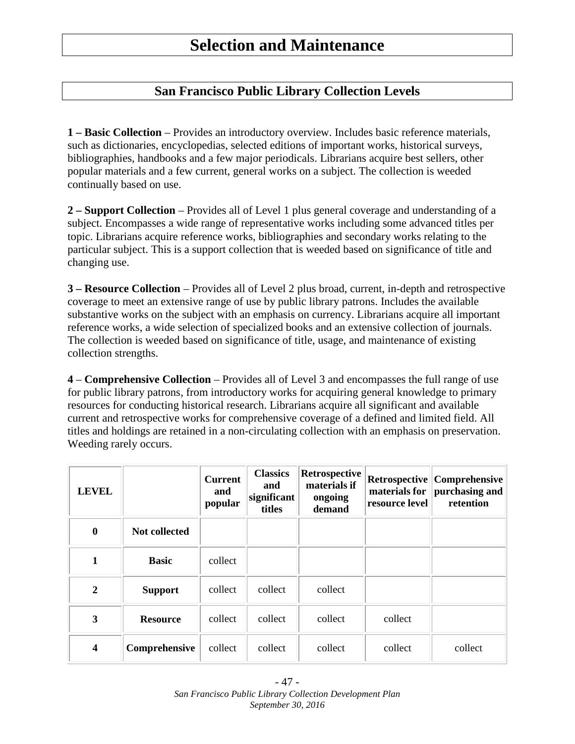## <span id="page-46-1"></span><span id="page-46-0"></span>**San Francisco Public Library Collection Levels**

**1 – Basic Collection** – Provides an introductory overview. Includes basic reference materials, such as dictionaries, encyclopedias, selected editions of important works, historical surveys, bibliographies, handbooks and a few major periodicals. Librarians acquire best sellers, other popular materials and a few current, general works on a subject. The collection is weeded continually based on use.

**2 – Support Collection** – Provides all of Level 1 plus general coverage and understanding of a subject. Encompasses a wide range of representative works including some advanced titles per topic. Librarians acquire reference works, bibliographies and secondary works relating to the particular subject. This is a support collection that is weeded based on significance of title and changing use.

**3 – Resource Collection** – Provides all of Level 2 plus broad, current, in-depth and retrospective coverage to meet an extensive range of use by public library patrons. Includes the available substantive works on the subject with an emphasis on currency. Librarians acquire all important reference works, a wide selection of specialized books and an extensive collection of journals. The collection is weeded based on significance of title, usage, and maintenance of existing collection strengths.

**4** – **Comprehensive Collection** – Provides all of Level 3 and encompasses the full range of use for public library patrons, from introductory works for acquiring general knowledge to primary resources for conducting historical research. Librarians acquire all significant and available current and retrospective works for comprehensive coverage of a defined and limited field. All titles and holdings are retained in a non-circulating collection with an emphasis on preservation. Weeding rarely occurs.

| <b>LEVEL</b>            |                 | <b>Current</b><br>and<br>popular | <b>Classics</b><br>and<br>significant<br>titles | Retrospective<br>materials if<br>ongoing<br>demand | Retrospective<br>materials for<br>resource level | <b>Comprehensive</b><br>purchasing and<br>retention |
|-------------------------|-----------------|----------------------------------|-------------------------------------------------|----------------------------------------------------|--------------------------------------------------|-----------------------------------------------------|
| $\boldsymbol{0}$        | Not collected   |                                  |                                                 |                                                    |                                                  |                                                     |
| 1                       | <b>Basic</b>    | collect                          |                                                 |                                                    |                                                  |                                                     |
| $\overline{2}$          | <b>Support</b>  | collect                          | collect                                         | collect                                            |                                                  |                                                     |
| 3                       | <b>Resource</b> | collect                          | collect                                         | collect                                            | collect                                          |                                                     |
| $\overline{\mathbf{4}}$ | Comprehensive   | collect                          | collect                                         | collect                                            | collect                                          | collect                                             |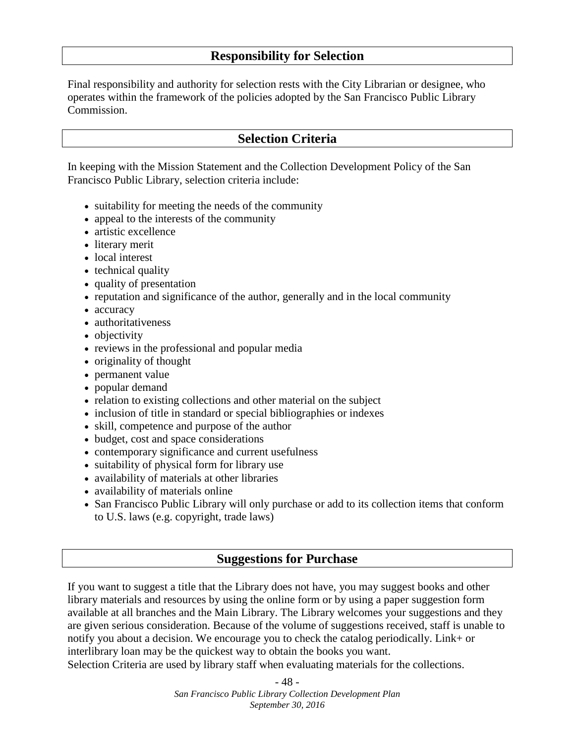## **Responsibility for Selection**

Final responsibility and authority for selection rests with the City Librarian or designee, who operates within the framework of the policies adopted by the San Francisco Public Library Commission.

## <span id="page-47-1"></span><span id="page-47-0"></span>**Selection Criteria**

In keeping with the Mission Statement and the Collection Development Policy of the San Francisco Public Library, selection criteria include:

- suitability for meeting the needs of the community
- appeal to the interests of the community
- artistic excellence
- literary merit
- local interest
- technical quality
- quality of presentation
- reputation and significance of the author, generally and in the local community
- accuracy
- authoritativeness
- objectivity
- reviews in the professional and popular media
- originality of thought
- permanent value
- popular demand
- relation to existing collections and other material on the subject
- inclusion of title in standard or special bibliographies or indexes
- skill, competence and purpose of the author
- budget, cost and space considerations
- contemporary significance and current usefulness
- suitability of physical form for library use
- availability of materials at other libraries
- availability of materials online
- San Francisco Public Library will only purchase or add to its collection items that conform to U.S. laws (e.g. copyright, trade laws)

#### <span id="page-47-2"></span>**Suggestions for Purchase**

If you want to suggest a title that the Library does not have, you may suggest books and other library materials and resources by using the online form or by using a paper suggestion form available at all branches and the Main Library. The Library welcomes your suggestions and they are given serious consideration. Because of the volume of suggestions received, staff is unable to notify you about a decision. We encourage you to check the catalog periodically. Link+ or interlibrary loan may be the quickest way to obtain the books you want. Selection Criteria are used by library staff when evaluating materials for the collections.

> - 48 - *San Francisco Public Library Collection Development Plan September 30, 2016*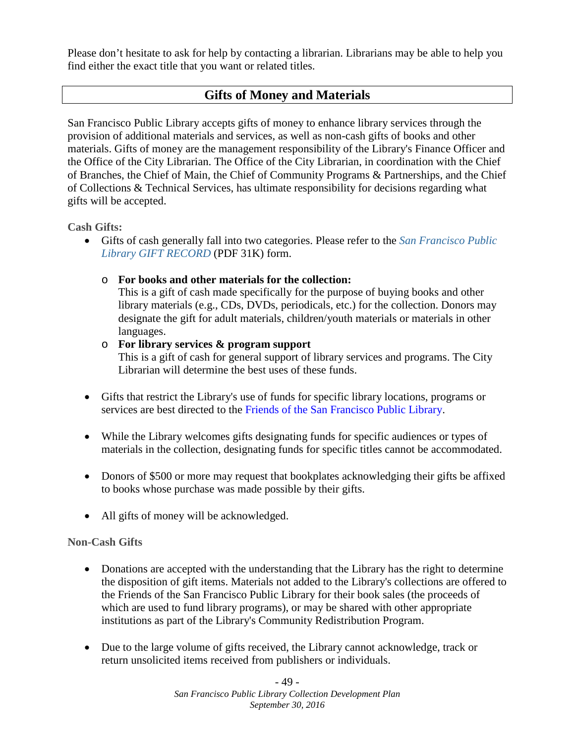Please don't hesitate to ask for help by contacting a librarian. Librarians may be able to help you find either the exact title that you want or related titles.

## <span id="page-48-0"></span>**Gifts of Money and Materials**

San Francisco Public Library accepts gifts of money to enhance library services through the provision of additional materials and services, as well as non-cash gifts of books and other materials. Gifts of money are the management responsibility of the Library's Finance Officer and the Office of the City Librarian. The Office of the City Librarian, in coordination with the Chief of Branches, the Chief of Main, the Chief of Community Programs & Partnerships, and the Chief of Collections & Technical Services, has ultimate responsibility for decisions regarding what gifts will be accepted.

**Cash Gifts:**

- Gifts of cash generally fall into two categories. Please refer to the *[San Francisco Public](http://sfpl.org/pdf/about/administration/gifts-donations/sfpl667.pdf)  [Library GIFT RECORD](http://sfpl.org/pdf/about/administration/gifts-donations/sfpl667.pdf)* (PDF 31K) form.
	- o **For books and other materials for the collection:**

This is a gift of cash made specifically for the purpose of buying books and other library materials (e.g., CDs, DVDs, periodicals, etc.) for the collection. Donors may designate the gift for adult materials, children/youth materials or materials in other languages.

#### o **For library services & program support**

This is a gift of cash for general support of library services and programs. The City Librarian will determine the best uses of these funds.

- Gifts that restrict the Library's use of funds for specific library locations, programs or services are best directed to the Friends of [the San Francisco Public Library.](http://www.friendssfpl.org/support-us/donate.html)
- While the Library welcomes gifts designating funds for specific audiences or types of materials in the collection, designating funds for specific titles cannot be accommodated.
- Donors of \$500 or more may request that bookplates acknowledging their gifts be affixed to books whose purchase was made possible by their gifts.
- All gifts of money will be acknowledged.

#### **Non-Cash Gifts**

- Donations are accepted with the understanding that the Library has the right to determine the disposition of gift items. Materials not added to the Library's collections are offered to the Friends of the San Francisco Public Library for their book sales (the proceeds of which are used to fund library programs), or may be shared with other appropriate institutions as part of the Library's Community Redistribution Program.
- Due to the large volume of gifts received, the Library cannot acknowledge, track or return unsolicited items received from publishers or individuals.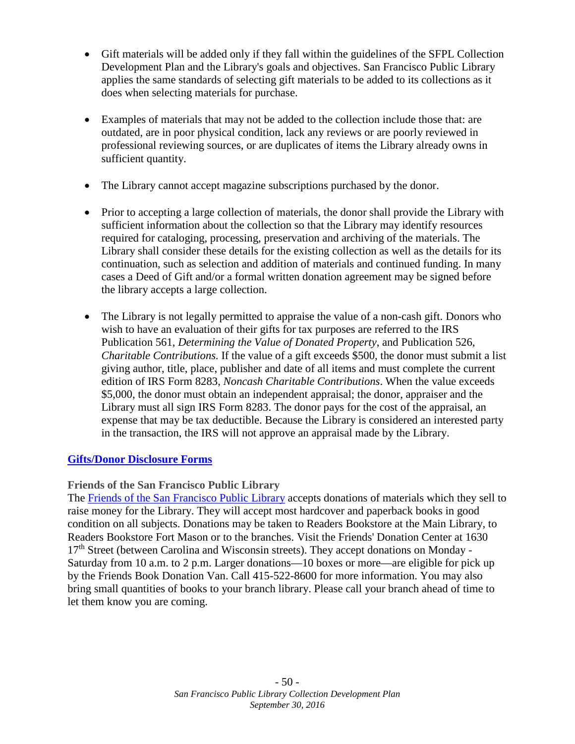- Gift materials will be added only if they fall within the guidelines of the SFPL Collection Development Plan and the Library's goals and objectives. San Francisco Public Library applies the same standards of selecting gift materials to be added to its collections as it does when selecting materials for purchase.
- Examples of materials that may not be added to the collection include those that: are outdated, are in poor physical condition, lack any reviews or are poorly reviewed in professional reviewing sources, or are duplicates of items the Library already owns in sufficient quantity.
- The Library cannot accept magazine subscriptions purchased by the donor.
- Prior to accepting a large collection of materials, the donor shall provide the Library with sufficient information about the collection so that the Library may identify resources required for cataloging, processing, preservation and archiving of the materials. The Library shall consider these details for the existing collection as well as the details for its continuation, such as selection and addition of materials and continued funding. In many cases a Deed of Gift and/or a formal written donation agreement may be signed before the library accepts a large collection.
- The Library is not legally permitted to appraise the value of a non-cash gift. Donors who wish to have an evaluation of their gifts for tax purposes are referred to the IRS Publication 561, *Determining the Value of Donated Property*, and Publication 526, *Charitable Contributions*. If the value of a gift exceeds \$500, the donor must submit a list giving author, title, place, publisher and date of all items and must complete the current edition of IRS Form 8283, *Noncash Charitable Contributions*. When the value exceeds \$5,000, the donor must obtain an independent appraisal; the donor, appraiser and the Library must all sign IRS Form 8283. The donor pays for the cost of the appraisal, an expense that may be tax deductible. Because the Library is considered an interested party in the transaction, the IRS will not approve an appraisal made by the Library.

## **[Gifts/Donor Disclosure Forms](http://sfpl.org/index.php?pg=2000005901)**

**Friends of the San Francisco Public Library**

The [Friends of the San Francisco Public Library](http://www.friendssfpl.org/) accepts donations of materials which they sell to raise money for the Library. They will accept most hardcover and paperback books in good condition on all subjects. Donations may be taken to Readers Bookstore at the Main Library, to Readers Bookstore Fort Mason or to the branches. Visit the Friends' Donation Center at 1630 17<sup>th</sup> Street (between Carolina and Wisconsin streets). They accept donations on Monday -Saturday from 10 a.m. to 2 p.m. Larger donations—10 boxes or more—are eligible for pick up by the Friends Book Donation Van. Call 415-522-8600 for more information. You may also bring small quantities of books to your branch library. Please call your branch ahead of time to let them know you are coming.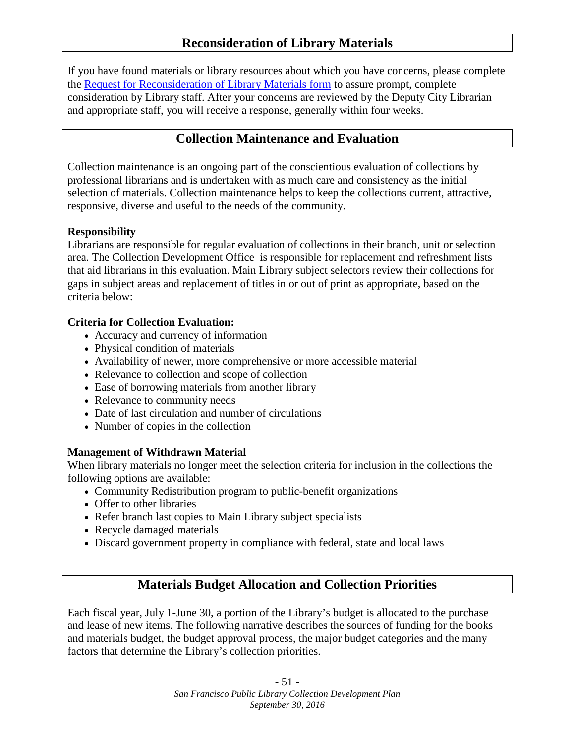## <span id="page-50-0"></span>**Reconsideration of Library Materials**

If you have found materials or library resources about which you have concerns, please complete the [Request for Reconsideration of Library Materials form](http://sfpl.org/pdf/about/administration/sfpl073.pdf) to assure prompt, complete consideration by Library staff. After your concerns are reviewed by the Deputy City Librarian and appropriate staff, you will receive a response, generally within four weeks.

## <span id="page-50-1"></span>**Collection Maintenance and Evaluation**

Collection maintenance is an ongoing part of the conscientious evaluation of collections by professional librarians and is undertaken with as much care and consistency as the initial selection of materials. Collection maintenance helps to keep the collections current, attractive, responsive, diverse and useful to the needs of the community.

#### **Responsibility**

Librarians are responsible for regular evaluation of collections in their branch, unit or selection area. The Collection Development Office is responsible for replacement and refreshment lists that aid librarians in this evaluation. Main Library subject selectors review their collections for gaps in subject areas and replacement of titles in or out of print as appropriate, based on the criteria below:

#### **Criteria for Collection Evaluation:**

- Accuracy and currency of information
- Physical condition of materials
- Availability of newer, more comprehensive or more accessible material
- Relevance to collection and scope of collection
- Ease of borrowing materials from another library
- Relevance to community needs
- Date of last circulation and number of circulations
- Number of copies in the collection

#### **Management of Withdrawn Material**

When library materials no longer meet the selection criteria for inclusion in the collections the following options are available:

- Community Redistribution program to public-benefit organizations
- Offer to other libraries
- Refer branch last copies to Main Library subject specialists
- Recycle damaged materials
- Discard government property in compliance with federal, state and local laws

## <span id="page-50-2"></span>**Materials Budget Allocation and Collection Priorities**

Each fiscal year, July 1-June 30, a portion of the Library's budget is allocated to the purchase and lease of new items. The following narrative describes the sources of funding for the books and materials budget, the budget approval process, the major budget categories and the many factors that determine the Library's collection priorities.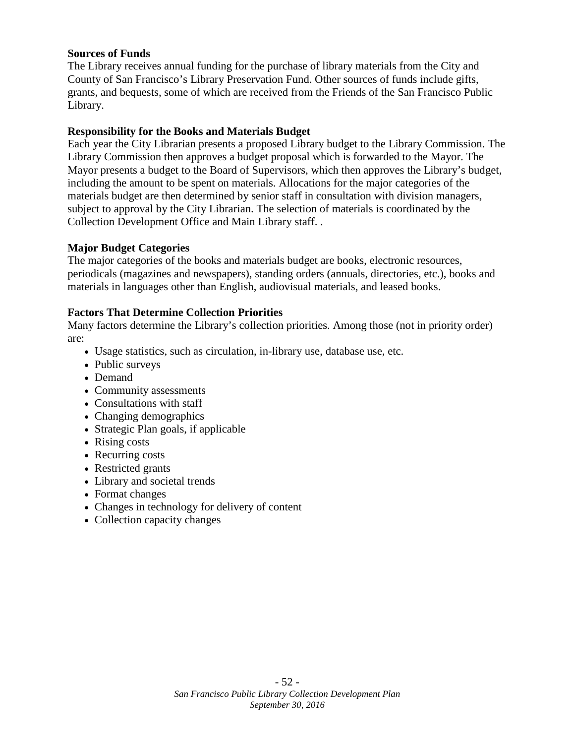#### **Sources of Funds**

The Library receives annual funding for the purchase of library materials from the City and County of San Francisco's Library Preservation Fund. Other sources of funds include gifts, grants, and bequests, some of which are received from the Friends of the San Francisco Public Library.

#### **Responsibility for the Books and Materials Budget**

Each year the City Librarian presents a proposed Library budget to the Library Commission. The Library Commission then approves a budget proposal which is forwarded to the Mayor. The Mayor presents a budget to the Board of Supervisors, which then approves the Library's budget, including the amount to be spent on materials. Allocations for the major categories of the materials budget are then determined by senior staff in consultation with division managers, subject to approval by the City Librarian. The selection of materials is coordinated by the Collection Development Office and Main Library staff. .

#### **Major Budget Categories**

The major categories of the books and materials budget are books, electronic resources, periodicals (magazines and newspapers), standing orders (annuals, directories, etc.), books and materials in languages other than English, audiovisual materials, and leased books.

#### **Factors That Determine Collection Priorities**

Many factors determine the Library's collection priorities. Among those (not in priority order) are:

- Usage statistics, such as circulation, in-library use, database use, etc.
- Public surveys
- Demand
- Community assessments
- Consultations with staff
- Changing demographics
- Strategic Plan goals, if applicable
- Rising costs
- Recurring costs
- Restricted grants
- Library and societal trends
- Format changes
- Changes in technology for delivery of content
- Collection capacity changes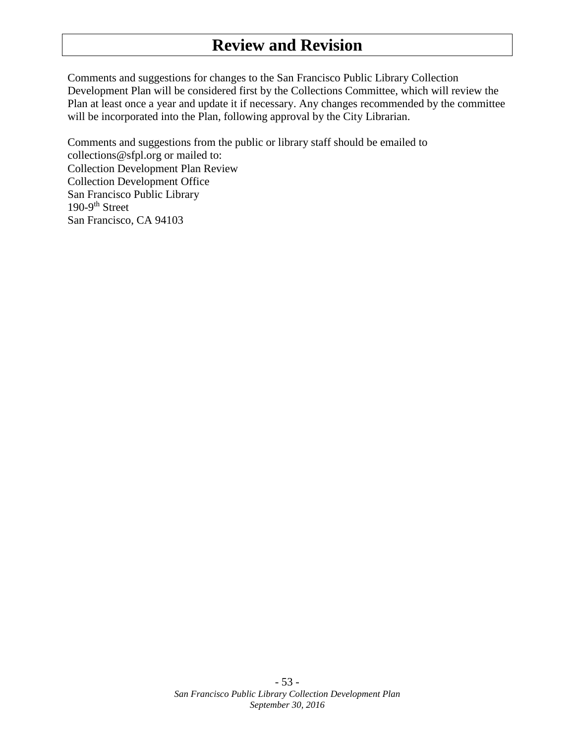# <span id="page-52-0"></span>**Review and Revision**

Comments and suggestions for changes to the San Francisco Public Library Collection Development Plan will be considered first by the Collections Committee, which will review the Plan at least once a year and update it if necessary. Any changes recommended by the committee will be incorporated into the Plan, following approval by the City Librarian.

Comments and suggestions from the public or library staff should be emailed to collections@sfpl.org or mailed to: Collection Development Plan Review Collection Development Office San Francisco Public Library  $190-9$ <sup>th</sup> Street San Francisco, CA 94103